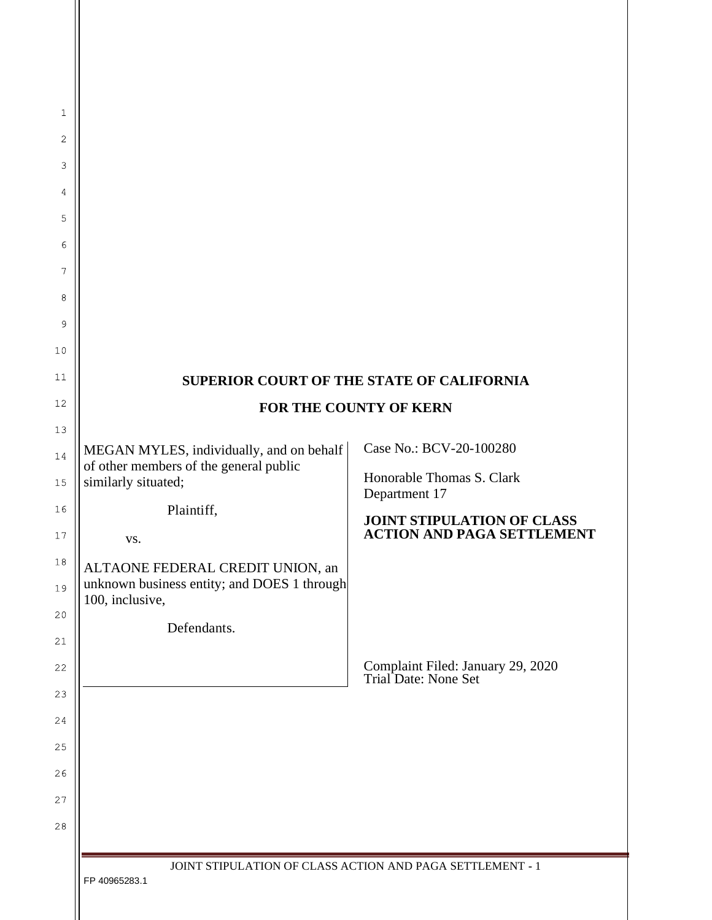|                                                                                                                                                                                                                                                     | SUPERIOR COURT OF THE STATE OF CALIFORNIA                                                                                                                                                             |
|-----------------------------------------------------------------------------------------------------------------------------------------------------------------------------------------------------------------------------------------------------|-------------------------------------------------------------------------------------------------------------------------------------------------------------------------------------------------------|
|                                                                                                                                                                                                                                                     | FOR THE COUNTY OF KERN                                                                                                                                                                                |
| MEGAN MYLES, individually, and on behalf<br>of other members of the general public<br>similarly situated;<br>Plaintiff,<br>VS.<br>ALTAONE FEDERAL CREDIT UNION, an<br>unknown business entity; and DOES 1 through<br>100, inclusive,<br>Defendants. | Case No.: BCV-20-100280<br>Honorable Thomas S. Clark<br>Department 17<br>JOINT STIPULATION OF CLASS<br><b>ACTION AND PAGA SETTLEMENT</b><br>Complaint Filed: January 29, 2020<br>Trial Date: None Set |
| FP 40965283.1                                                                                                                                                                                                                                       | JOINT STIPULATION OF CLASS ACTION AND PAGA SETTLEMENT - 1                                                                                                                                             |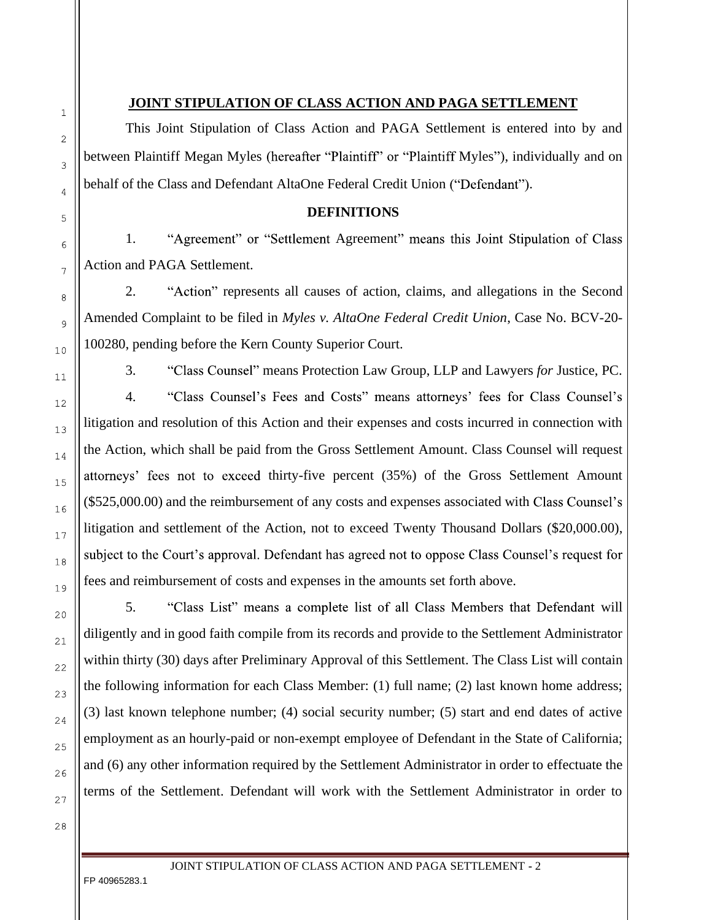## **JOINT STIPULATION OF CLASS ACTION AND PAGA SETTLEMENT**

This Joint Stipulation of Class Action and PAGA Settlement is entered into by and between Plaintiff Megan Myles (hereafter "Plaintiff" or "Plaintiff Myles"), individually and on behalf of the Class and Defendant AltaOne Federal Credit Union ("Defendant").

## **DEFINITIONS**

1. "Agreement" or "Settlement Agreement" means this Joint Stipulation of Class Action and PAGA Settlement.

2. "Action" represents all causes of action, claims, and allegations in the Second Amended Complaint to be filed in *Myles v. AltaOne Federal Credit Union*, Case No. BCV-20- 100280, pending before the Kern County Superior Court.

3. means Protection Law Group, LLP and Lawyers *for* Justice, PC.

4. "Class Counsel's Fees and Costs" means attorneys' fees for Class Counsel's litigation and resolution of this Action and their expenses and costs incurred in connection with the Action, which shall be paid from the Gross Settlement Amount. Class Counsel will request attorneys' fees not to exceed thirty-five percent (35%) of the Gross Settlement Amount (\$525,000.00) and the reimbursement of any costs and expenses associated with litigation and settlement of the Action, not to exceed Twenty Thousand Dollars (\$20,000.00), subject to the Court's approval. Defendant has agreed not to oppose Class Counsel's request for fees and reimbursement of costs and expenses in the amounts set forth above.

5. "Class List" means a complete list of all Class Members that Defendant will diligently and in good faith compile from its records and provide to the Settlement Administrator within thirty (30) days after Preliminary Approval of this Settlement. The Class List will contain the following information for each Class Member: (1) full name; (2) last known home address; (3) last known telephone number; (4) social security number; (5) start and end dates of active employment as an hourly-paid or non-exempt employee of Defendant in the State of California; and (6) any other information required by the Settlement Administrator in order to effectuate the terms of the Settlement. Defendant will work with the Settlement Administrator in order to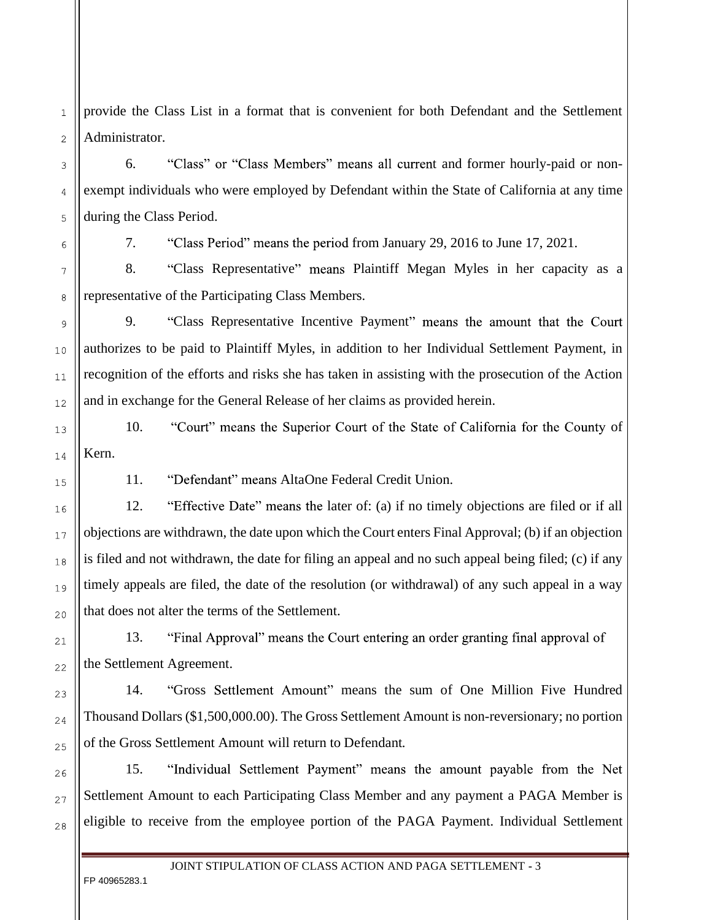provide the Class List in a format that is convenient for both Defendant and the Settlement Administrator.

6. "Class" or "Class Members" means all current and former hourly-paid or nonexempt individuals who were employed by Defendant within the State of California at any time during the Class Period.

 $\mathbf{1}$ 

 $\overline{2}$ 

3

7. *from January 29, 2016 to June 17, 2021. from January 29, 2016 to June 17, 2021.* 

8. "Class Representative" means Plaintiff Megan Myles in her capacity as a representative of the Participating Class Members.

9. "Class Representative Incentive Payment" means the amount that the Court authorizes to be paid to Plaintiff Myles, in addition to her Individual Settlement Payment, in recognition of the efforts and risks she has taken in assisting with the prosecution of the Action and in exchange for the General Release of her claims as provided herein.

10. "Court" means the Superior Court of the State of California for the County of Kern.

11. "Defendant" means AltaOne Federal Credit Union.

12. "Effective Date" means the later of: (a) if no timely objections are filed or if all objections are withdrawn, the date upon which the Court enters Final Approval; (b) if an objection is filed and not withdrawn, the date for filing an appeal and no such appeal being filed; (c) if any timely appeals are filed, the date of the resolution (or withdrawal) of any such appeal in a way that does not alter the terms of the Settlement.

13. "Final Approval" means the Court entering an order granting final approval of the Settlement Agreement.

14. "Gross Settlement Amount" means the sum of One Million Five Hundred Thousand Dollars (\$1,500,000.00). The Gross Settlement Amount is non-reversionary; no portion of the Gross Settlement Amount will return to Defendant.

"Individual Settlement Payment" means the amount payable from the Net 15. Settlement Amount to each Participating Class Member and any payment a PAGA Member is eligible to receive from the employee portion of the PAGA Payment. Individual Settlement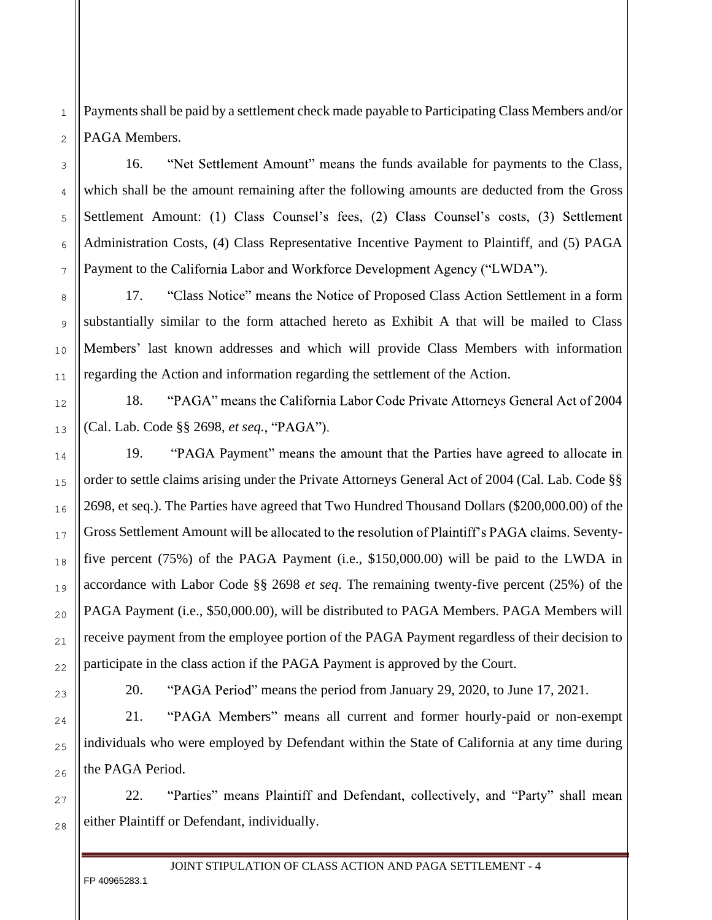Payments shall be paid by a settlement check made payable to Participating Class Members and/or PAGA Members.

16. "Net Settlement Amount" means the funds available for payments to the Class, which shall be the amount remaining after the following amounts are deducted from the Gross Settlement Amount: (1) Class Counsel's fees, (2) Class Counsel's costs, (3) Settlement Administration Costs, (4) Class Representative Incentive Payment to Plaintiff, and (5) PAGA Payment to the California Labor and Workforce Development Agency ("LWDA").

17. "Class Notice" means the Notice of Proposed Class Action Settlement in a form substantially similar to the form attached hereto as Exhibit A that will be mailed to Class Members' last known addresses and which will provide Class Members with information regarding the Action and information regarding the settlement of the Action.

18. "PAGA" means the California Labor Code Private Attorneys General Act of 2004 (Cal. Lab. Code §§ 2698, *et seq.*

19. "PAGA Payment" means the amount that the Parties have agreed to allocate in order to settle claims arising under the Private Attorneys General Act of 2004 (Cal. Lab. Code §§ 2698, et seq.). The Parties have agreed that Two Hundred Thousand Dollars (\$200,000.00) of the Gross Settlement Amount will be allocated to the resolution of Plaintiff's PAGA claims. Seventyfive percent (75%) of the PAGA Payment (i.e., \$150,000.00) will be paid to the LWDA in accordance with Labor Code §§ 2698 *et seq*. The remaining twenty-five percent (25%) of the PAGA Payment (i.e., \$50,000.00), will be distributed to PAGA Members. PAGA Members will receive payment from the employee portion of the PAGA Payment regardless of their decision to participate in the class action if the PAGA Payment is approved by the Court.

20. "PAGA Period" means the period from January 29, 2020, to June 17, 2021.

21. "PAGA Members" means all current and former hourly-paid or non-exempt individuals who were employed by Defendant within the State of California at any time during the PAGA Period.

22. "Parties" means Plaintiff and Defendant, collectively, and "Party" shall mean either Plaintiff or Defendant, individually.

JOINT STIPULATION OF CLASS ACTION AND PAGA SETTLEMENT **-** 4

FP 40965283.1

26

27

28

 $\mathbf{1}$ 

 $\overline{2}$ 

3

 $\overline{A}$ 

5

6

 $\overline{7}$ 

8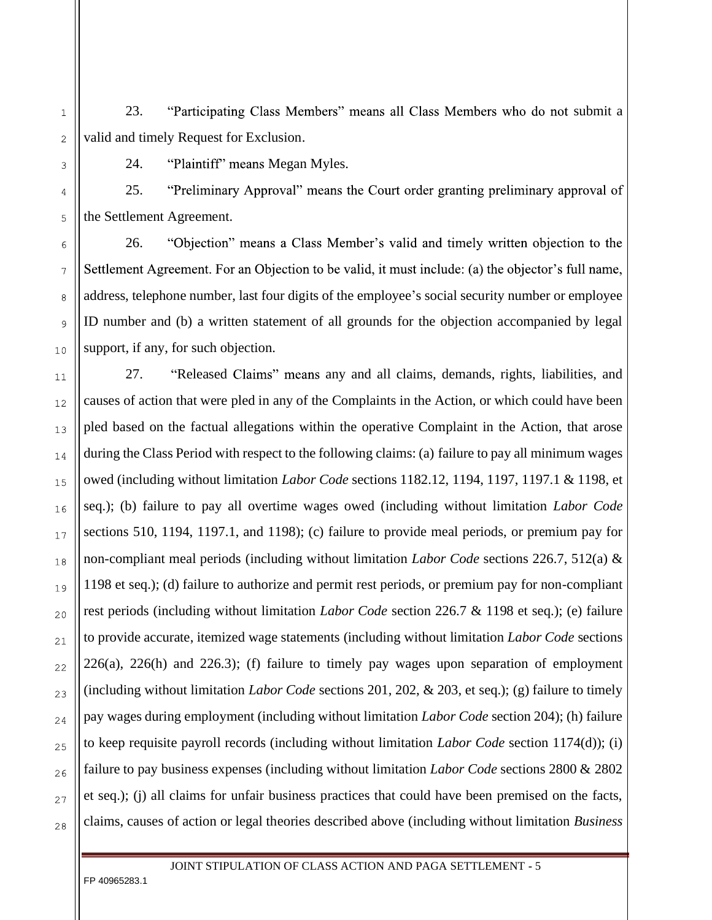23. "Participating Class Members" means all Class Members who do not submit a valid and timely Request for Exclusion.

24. "Plaintiff" means Megan Myles.

25. "Preliminary Approval" means the Court order granting preliminary approval of the Settlement Agreement.

"Objection" means a Class Member's valid and timely written objection to the 26. Settlement Agreement. For an Objection to be valid, it must include: (a) the objector's full name, address, telephone number, last four digits of the employee's social security number or employee ID number and (b) a written statement of all grounds for the objection accompanied by legal support, if any, for such objection.

27. "Released Claims" means any and all claims, demands, rights, liabilities, and causes of action that were pled in any of the Complaints in the Action, or which could have been pled based on the factual allegations within the operative Complaint in the Action, that arose during the Class Period with respect to the following claims: (a) failure to pay all minimum wages owed (including without limitation *Labor Code* sections 1182.12, 1194, 1197, 1197.1 & 1198, et seq.); (b) failure to pay all overtime wages owed (including without limitation *Labor Code* sections 510, 1194, 1197.1, and 1198); (c) failure to provide meal periods, or premium pay for non-compliant meal periods (including without limitation *Labor Code* sections 226.7, 512(a) & 1198 et seq.); (d) failure to authorize and permit rest periods, or premium pay for non-compliant rest periods (including without limitation *Labor Code* section 226.7 & 1198 et seq.); (e) failure to provide accurate, itemized wage statements (including without limitation *Labor Code* sections  $226(a)$ ,  $226(h)$  and  $226.3$ ); (f) failure to timely pay wages upon separation of employment (including without limitation *Labor Code* sections 201, 202, & 203, et seq.); (g) failure to timely pay wages during employment (including without limitation *Labor Code* section 204); (h) failure to keep requisite payroll records (including without limitation *Labor Code* section 1174(d)); (i) failure to pay business expenses (including without limitation *Labor Code* sections 2800 & 2802 et seq.); (j) all claims for unfair business practices that could have been premised on the facts, claims, causes of action or legal theories described above (including without limitation *Business*

FP 40965283.1

 $\overline{7}$ 

8

9

 $10$ 

 $11$ 

 $12$ 

13

14

 $1.5$ 

16

 $17$ 

18

19

 $20$ 

 $21$ 

 $22$ 

23

24

25

26

27

28

 $\overline{1}$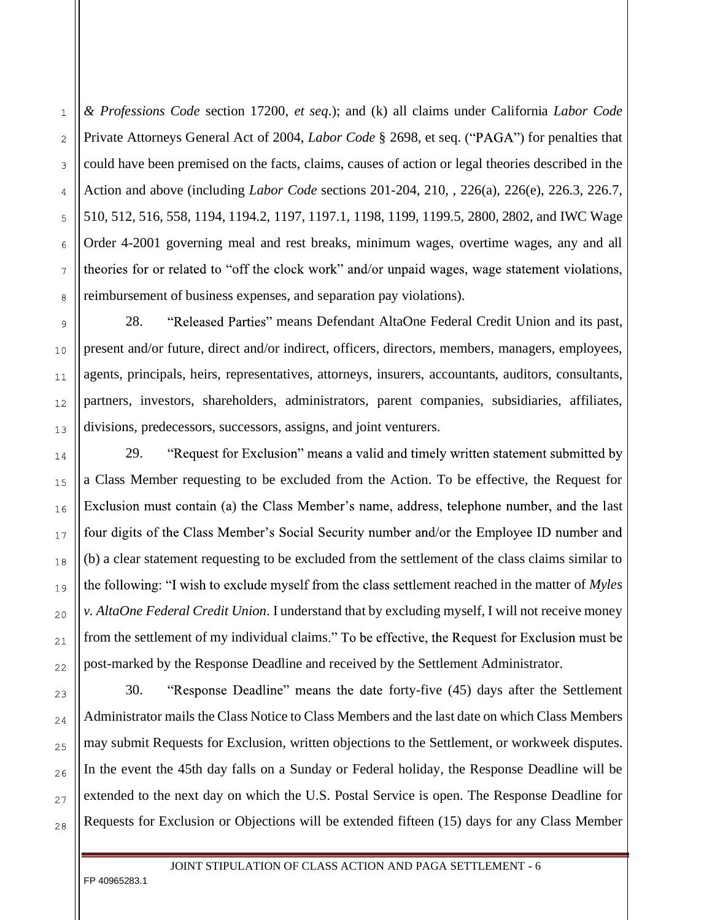*& Professions Code* section 17200, *et seq*.); and (k) all claims under California *Labor Code* Private Attorneys General Act of 2004, *Labor Code* § 2698, et seq. ("PAGA") for penalties that could have been premised on the facts, claims, causes of action or legal theories described in the Action and above (including *Labor Code* sections 201-204, 210, , 226(a), 226(e), 226.3, 226.7, 510, 512, 516, 558, 1194, 1194.2, 1197, 1197.1, 1198, 1199, 1199.5, 2800, 2802, and IWC Wage Order 4-2001 governing meal and rest breaks, minimum wages, overtime wages, any and all theories for or related to "off the clock work" and/or unpaid wages, wage statement violations, reimbursement of business expenses, and separation pay violations).

28. "Released Parties" means Defendant AltaOne Federal Credit Union and its past, present and/or future, direct and/or indirect, officers, directors, members, managers, employees, agents, principals, heirs, representatives, attorneys, insurers, accountants, auditors, consultants, partners, investors, shareholders, administrators, parent companies, subsidiaries, affiliates, divisions, predecessors, successors, assigns, and joint venturers.

29. "Request for Exclusion" means a valid and timely written statement submitted by a Class Member requesting to be excluded from the Action. To be effective, the Request for Exclusion must contain (a) the Class Member's name, address, telephone number, and the last four digits of the Class Member's Social Security number and/or the Employee ID number and (b) a clear statement requesting to be excluded from the settlement of the class claims similar to the following: "I wish to exclude myself from the class settlement reached in the matter of *Myles v. AltaOne Federal Credit Union*. I understand that by excluding myself, I will not receive money from the settlement of my individual claims." To be effective, the Request for Exclusion must be post-marked by the Response Deadline and received by the Settlement Administrator.

30. "Response Deadline" means the date forty-five (45) days after the Settlement Administrator mails the Class Notice to Class Members and the last date on which Class Members may submit Requests for Exclusion, written objections to the Settlement, or workweek disputes. In the event the 45th day falls on a Sunday or Federal holiday, the Response Deadline will be extended to the next day on which the U.S. Postal Service is open. The Response Deadline for Requests for Exclusion or Objections will be extended fifteen (15) days for any Class Member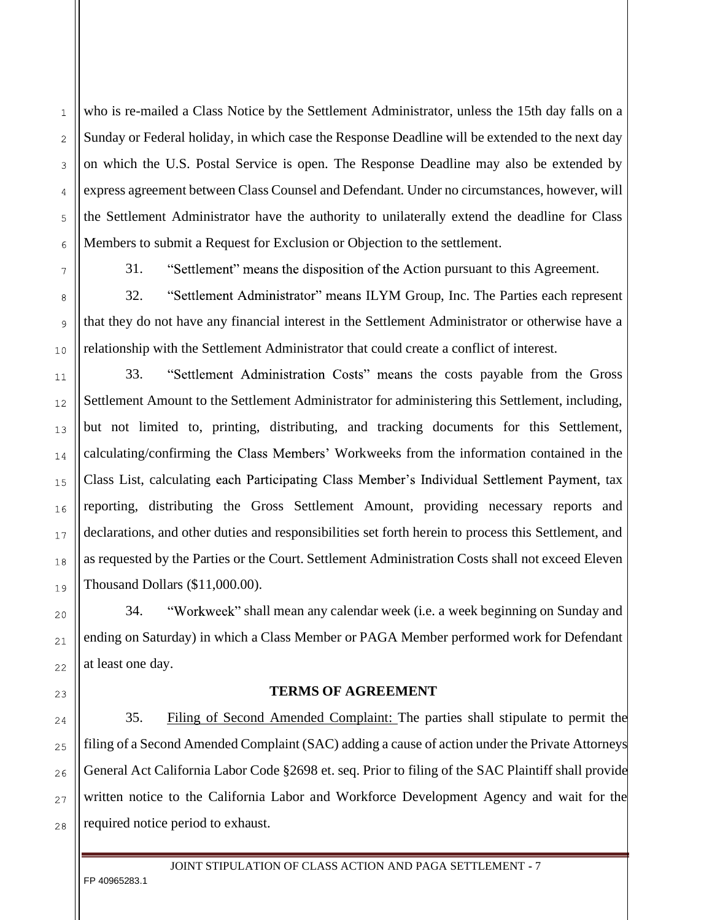who is re-mailed a Class Notice by the Settlement Administrator, unless the 15th day falls on a Sunday or Federal holiday, in which case the Response Deadline will be extended to the next day on which the U.S. Postal Service is open. The Response Deadline may also be extended by express agreement between Class Counsel and Defendant. Under no circumstances, however, will the Settlement Administrator have the authority to unilaterally extend the deadline for Class Members to submit a Request for Exclusion or Objection to the settlement.

31. "Settlement" means the disposition of the Action pursuant to this Agreement.

32. "Settlement Administrator" means ILYM Group, Inc. The Parties each represent that they do not have any financial interest in the Settlement Administrator or otherwise have a relationship with the Settlement Administrator that could create a conflict of interest.

33. "Settlement Administration Costs" means the costs payable from the Gross Settlement Amount to the Settlement Administrator for administering this Settlement, including, but not limited to, printing, distributing, and tracking documents for this Settlement, calculating/confirming the Class Members' Workweeks from the information contained in the Class List, calculating each Participating Class Member's Individual Settlement Payment, tax reporting, distributing the Gross Settlement Amount, providing necessary reports and declarations, and other duties and responsibilities set forth herein to process this Settlement, and as requested by the Parties or the Court. Settlement Administration Costs shall not exceed Eleven Thousand Dollars (\$11,000.00).

34. "Workweek" shall mean any calendar week (i.e. a week beginning on Sunday and ending on Saturday) in which a Class Member or PAGA Member performed work for Defendant at least one day.

## **TERMS OF AGREEMENT**

35. Filing of Second Amended Complaint: The parties shall stipulate to permit the filing of a Second Amended Complaint (SAC) adding a cause of action under the Private Attorneys General Act California Labor Code §2698 et. seq. Prior to filing of the SAC Plaintiff shall provide written notice to the California Labor and Workforce Development Agency and wait for the required notice period to exhaust.

JOINT STIPULATION OF CLASS ACTION AND PAGA SETTLEMENT **-** 7

FP 40965283.1

27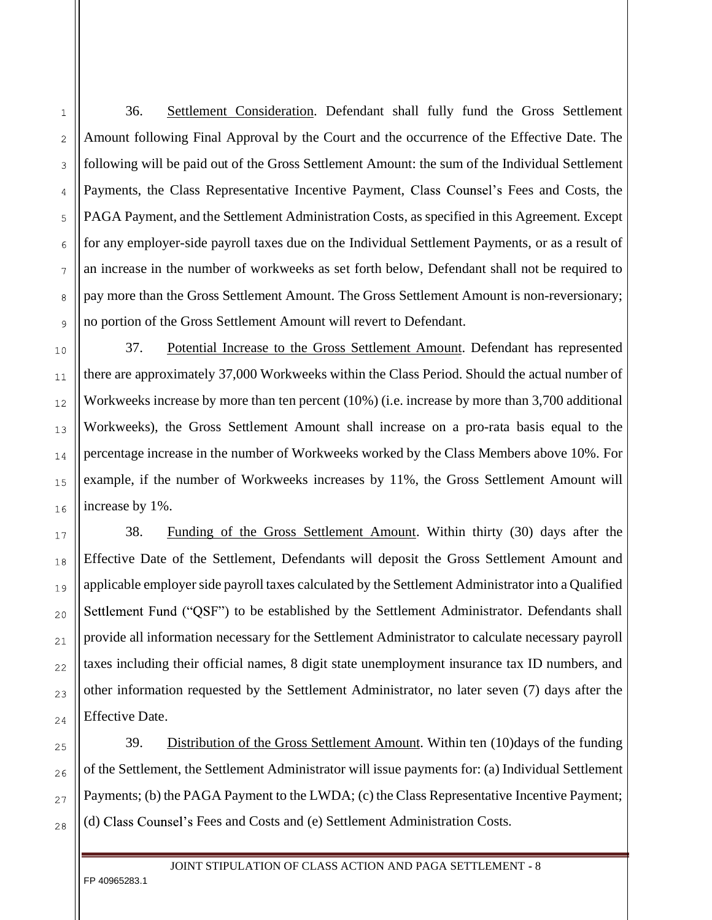36. Settlement Consideration. Defendant shall fully fund the Gross Settlement Amount following Final Approval by the Court and the occurrence of the Effective Date. The following will be paid out of the Gross Settlement Amount: the sum of the Individual Settlement Payments, the Class Representative Incentive Payment, Class Counsel's Fees and Costs, the PAGA Payment, and the Settlement Administration Costs, as specified in this Agreement. Except for any employer-side payroll taxes due on the Individual Settlement Payments, or as a result of an increase in the number of workweeks as set forth below, Defendant shall not be required to pay more than the Gross Settlement Amount. The Gross Settlement Amount is non-reversionary; no portion of the Gross Settlement Amount will revert to Defendant.

37. Potential Increase to the Gross Settlement Amount. Defendant has represented there are approximately 37,000 Workweeks within the Class Period. Should the actual number of Workweeks increase by more than ten percent (10%) (i.e. increase by more than 3,700 additional Workweeks), the Gross Settlement Amount shall increase on a pro-rata basis equal to the percentage increase in the number of Workweeks worked by the Class Members above 10%. For example, if the number of Workweeks increases by 11%, the Gross Settlement Amount will increase by 1%.

38. Funding of the Gross Settlement Amount. Within thirty (30) days after the Effective Date of the Settlement, Defendants will deposit the Gross Settlement Amount and applicable employer side payroll taxes calculated by the Settlement Administrator into a Qualified Settlement Fund ("QSF") to be established by the Settlement Administrator. Defendants shall provide all information necessary for the Settlement Administrator to calculate necessary payroll taxes including their official names, 8 digit state unemployment insurance tax ID numbers, and other information requested by the Settlement Administrator, no later seven (7) days after the Effective Date.

39. Distribution of the Gross Settlement Amount. Within ten (10) days of the funding of the Settlement, the Settlement Administrator will issue payments for: (a) Individual Settlement Payments; (b) the PAGA Payment to the LWDA; (c) the Class Representative Incentive Payment; (d) Class Counsel's Fees and Costs and (e) Settlement Administration Costs.

FP 40965283.1

 $11$ 

 $12$ 

13

14

1.5

16

 $17$ 

18

19

 $20$ 

 $21$ 

22

23

24

25

26

27

28

 $\mathbf{1}$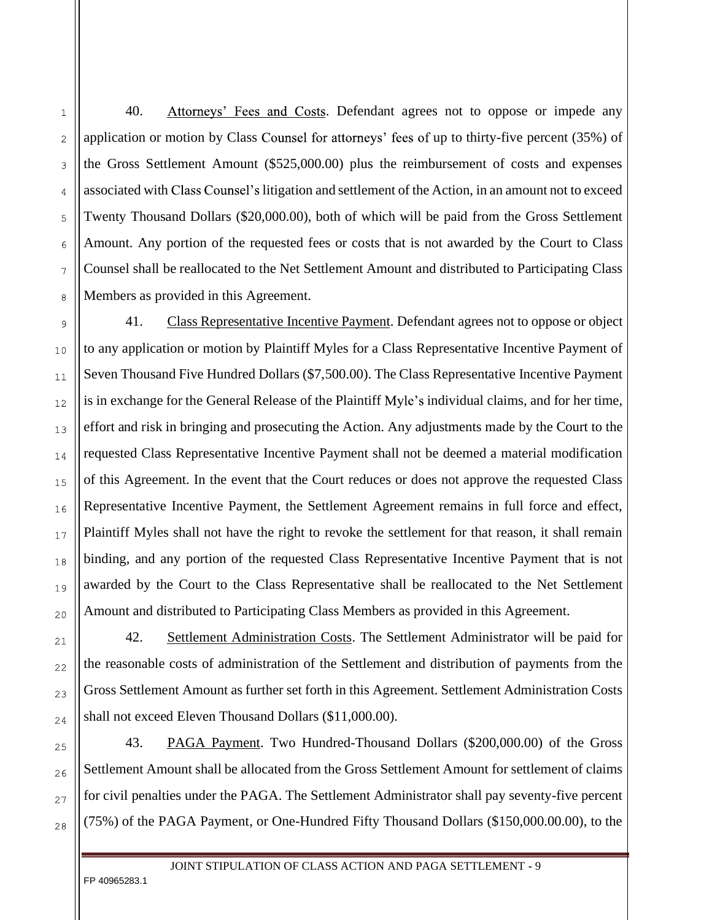40. Attorneys' Fees and Costs. Defendant agrees not to oppose or impede any application or motion by Class Counsel for attorneys' fees of up to thirty-five percent (35%) of the Gross Settlement Amount (\$525,000.00) plus the reimbursement of costs and expenses associated with Class Counsel's litigation and settlement of the Action, in an amount not to exceed Twenty Thousand Dollars (\$20,000.00), both of which will be paid from the Gross Settlement Amount. Any portion of the requested fees or costs that is not awarded by the Court to Class Counsel shall be reallocated to the Net Settlement Amount and distributed to Participating Class Members as provided in this Agreement.

41. Class Representative Incentive Payment. Defendant agrees not to oppose or object to any application or motion by Plaintiff Myles for a Class Representative Incentive Payment of Seven Thousand Five Hundred Dollars (\$7,500.00). The Class Representative Incentive Payment is in exchange for the General Release of the Plaintiff Myle's individual claims, and for her time, effort and risk in bringing and prosecuting the Action. Any adjustments made by the Court to the requested Class Representative Incentive Payment shall not be deemed a material modification of this Agreement. In the event that the Court reduces or does not approve the requested Class Representative Incentive Payment, the Settlement Agreement remains in full force and effect, Plaintiff Myles shall not have the right to revoke the settlement for that reason, it shall remain binding, and any portion of the requested Class Representative Incentive Payment that is not awarded by the Court to the Class Representative shall be reallocated to the Net Settlement Amount and distributed to Participating Class Members as provided in this Agreement.

42. Settlement Administration Costs. The Settlement Administrator will be paid for the reasonable costs of administration of the Settlement and distribution of payments from the Gross Settlement Amount as further set forth in this Agreement. Settlement Administration Costs shall not exceed Eleven Thousand Dollars (\$11,000.00).

43. PAGA Payment. Two Hundred-Thousand Dollars (\$200,000.00) of the Gross Settlement Amount shall be allocated from the Gross Settlement Amount for settlement of claims for civil penalties under the PAGA. The Settlement Administrator shall pay seventy-five percent (75%) of the PAGA Payment, or One-Hundred Fifty Thousand Dollars (\$150,000.00.00), to the

FP 40965283.1

8

 $\overline{Q}$ 

 $10$ 

 $11$ 

 $12$ 

13

14

1.5

16

 $17$ 

18

19

 $20$ 

 $21$ 

 $22$ 

23

24

 $25$ 

26

27

28

 $\mathbf{1}$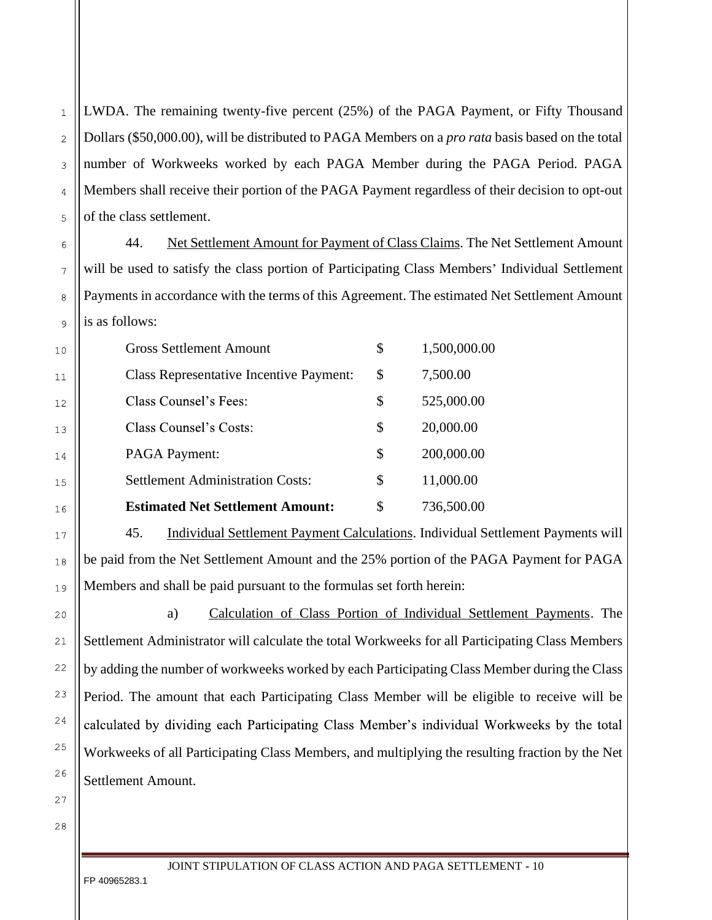LWDA. The remaining twenty-five percent (25%) of the PAGA Payment, or Fifty Thousand Dollars (\$50,000.00), will be distributed to PAGA Members on a *pro rata* basis based on the total number of Workweeks worked by each PAGA Member during the PAGA Period. PAGA Members shall receive their portion of the PAGA Payment regardless of their decision to opt-out of the class settlement.

44. Net Settlement Amount for Payment of Class Claims. The Net Settlement Amount will be used to satisfy the class portion of Participating Class Members' Individual Settlement Payments in accordance with the terms of this Agreement. The estimated Net Settlement Amount is as follows:

| <b>Gross Settlement Amount</b> |                                                | \$<br>1,500,000.00 |
|--------------------------------|------------------------------------------------|--------------------|
|                                | <b>Class Representative Incentive Payment:</b> | \$<br>7,500.00     |
| Class Counsel's Fees:          |                                                | \$<br>525,000.00   |
| Class Counsel's Costs:         |                                                | \$<br>20,000.00    |
| <b>PAGA Payment:</b>           |                                                | \$<br>200,000.00   |
|                                | <b>Settlement Administration Costs:</b>        | \$<br>11,000.00    |
|                                | <b>Estimated Net Settlement Amount:</b>        | \$<br>736,500.00   |

45. Individual Settlement Payment Calculations. Individual Settlement Payments will be paid from the Net Settlement Amount and the 25% portion of the PAGA Payment for PAGA Members and shall be paid pursuant to the formulas set forth herein:

a) Calculation of Class Portion of Individual Settlement Payments. The Settlement Administrator will calculate the total Workweeks for all Participating Class Members by adding the number of workweeks worked by each Participating Class Member during the Class Period. The amount that each Participating Class Member will be eligible to receive will be calculated by dividing each Participating Class Member's individual Workweeks by the total Workweeks of all Participating Class Members, and multiplying the resulting fraction by the Net Settlement Amount.

 $\mathbf{1}$ 

 $\overline{2}$ 

3

 $\overline{4}$ 

5

6

 $\overline{7}$ 

8

9

 $10$ 

 $11$ 

 $12$ 

13

14

 $1.5$ 

16

17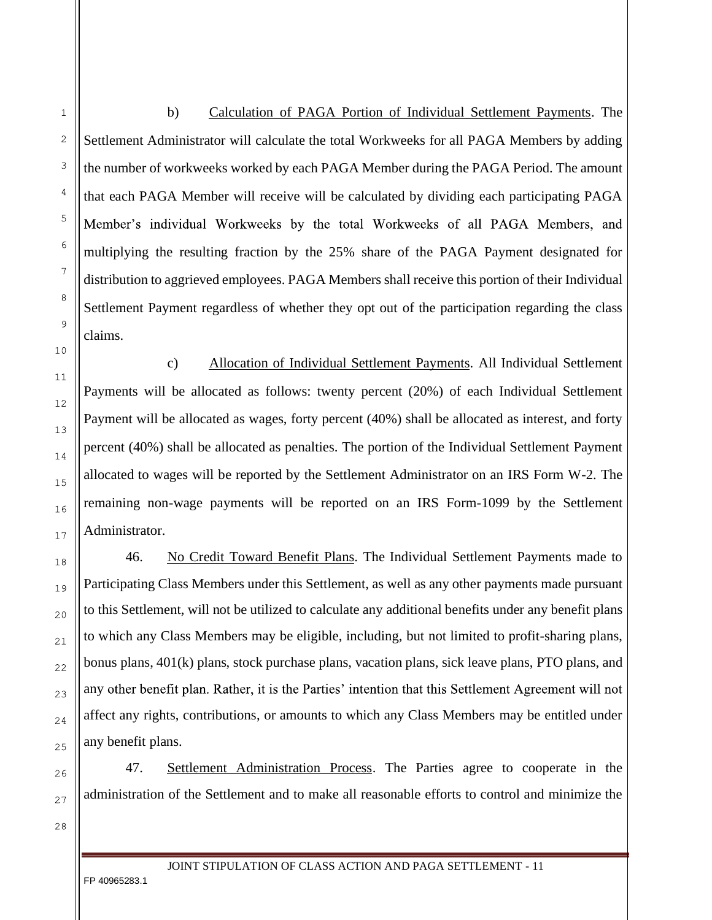b) Calculation of PAGA Portion of Individual Settlement Payments. The Settlement Administrator will calculate the total Workweeks for all PAGA Members by adding the number of workweeks worked by each PAGA Member during the PAGA Period. The amount that each PAGA Member will receive will be calculated by dividing each participating PAGA Member's individual Workweeks by the total Workweeks of all PAGA Members, and multiplying the resulting fraction by the 25% share of the PAGA Payment designated for distribution to aggrieved employees. PAGA Members shall receive this portion of their Individual Settlement Payment regardless of whether they opt out of the participation regarding the class claims.

c) Allocation of Individual Settlement Payments. All Individual Settlement Payments will be allocated as follows: twenty percent (20%) of each Individual Settlement Payment will be allocated as wages, forty percent (40%) shall be allocated as interest, and forty percent (40%) shall be allocated as penalties. The portion of the Individual Settlement Payment allocated to wages will be reported by the Settlement Administrator on an IRS Form W-2. The remaining non-wage payments will be reported on an IRS Form-1099 by the Settlement Administrator.

46. No Credit Toward Benefit Plans. The Individual Settlement Payments made to Participating Class Members under this Settlement, as well as any other payments made pursuant to this Settlement, will not be utilized to calculate any additional benefits under any benefit plans to which any Class Members may be eligible, including, but not limited to profit-sharing plans, bonus plans, 401(k) plans, stock purchase plans, vacation plans, sick leave plans, PTO plans, and any other benefit plan. Rather, it is the Parties' intention that this Settlement Agreement will not affect any rights, contributions, or amounts to which any Class Members may be entitled under any benefit plans.

47. Settlement Administration Process. The Parties agree to cooperate in the administration of the Settlement and to make all reasonable efforts to control and minimize the

27 28

 $\mathbf{1}$ 

 $\overline{c}$ 

3

4

5

6

 $\overline{7}$ 

8

 $\overline{Q}$ 

 $10$ 

 $11$ 

 $12$ 

13

14

1.5

16

 $17$ 

18

19

 $20$ 

 $21$ 

 $22$ 

23

24

 $25$ 

26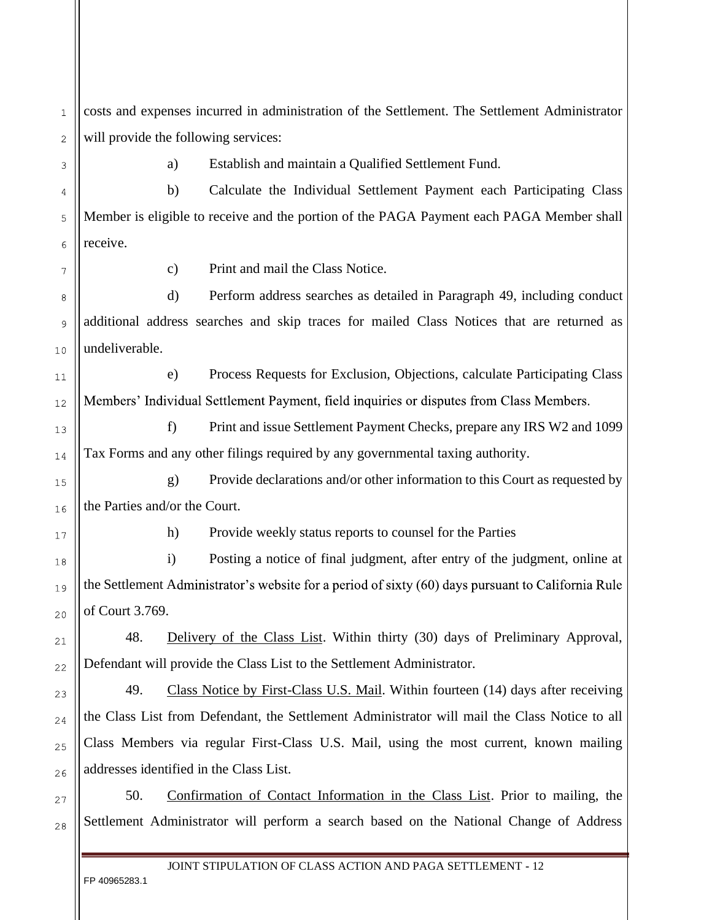costs and expenses incurred in administration of the Settlement. The Settlement Administrator will provide the following services:  $\overline{2}$ 

 $\mathbf{1}$ 

3

 $\overline{4}$ 

5

6

 $\overline{7}$ 

8

9

 $10$ 

 $11$ 

 $12$ 

13

14

 $1.5$ 

16

 $17$ 

18

19

 $20$ 

 $21$ 

 $22$ 

23

24

 $25$ 

26

27

28

a) Establish and maintain a Qualified Settlement Fund.

b) Calculate the Individual Settlement Payment each Participating Class Member is eligible to receive and the portion of the PAGA Payment each PAGA Member shall receive.

c) Print and mail the Class Notice.

d) Perform address searches as detailed in Paragraph 49, including conduct additional address searches and skip traces for mailed Class Notices that are returned as undeliverable.

e) Process Requests for Exclusion, Objections, calculate Participating Class Members' Individual Settlement Payment, field inquiries or disputes from Class Members.

f) Print and issue Settlement Payment Checks, prepare any IRS W2 and 1099 Tax Forms and any other filings required by any governmental taxing authority.

g) Provide declarations and/or other information to this Court as requested by the Parties and/or the Court.

h) Provide weekly status reports to counsel for the Parties

i) Posting a notice of final judgment, after entry of the judgment, online at the Settlement Administrator's website for a period of sixty (60) days pursuant to California Rule of Court 3.769.

48. Delivery of the Class List. Within thirty (30) days of Preliminary Approval, Defendant will provide the Class List to the Settlement Administrator.

49. Class Notice by First-Class U.S. Mail. Within fourteen (14) days after receiving the Class List from Defendant, the Settlement Administrator will mail the Class Notice to all Class Members via regular First-Class U.S. Mail, using the most current, known mailing addresses identified in the Class List.

50. Confirmation of Contact Information in the Class List. Prior to mailing, the Settlement Administrator will perform a search based on the National Change of Address

JOINT STIPULATION OF CLASS ACTION AND PAGA SETTLEMENT **-** 12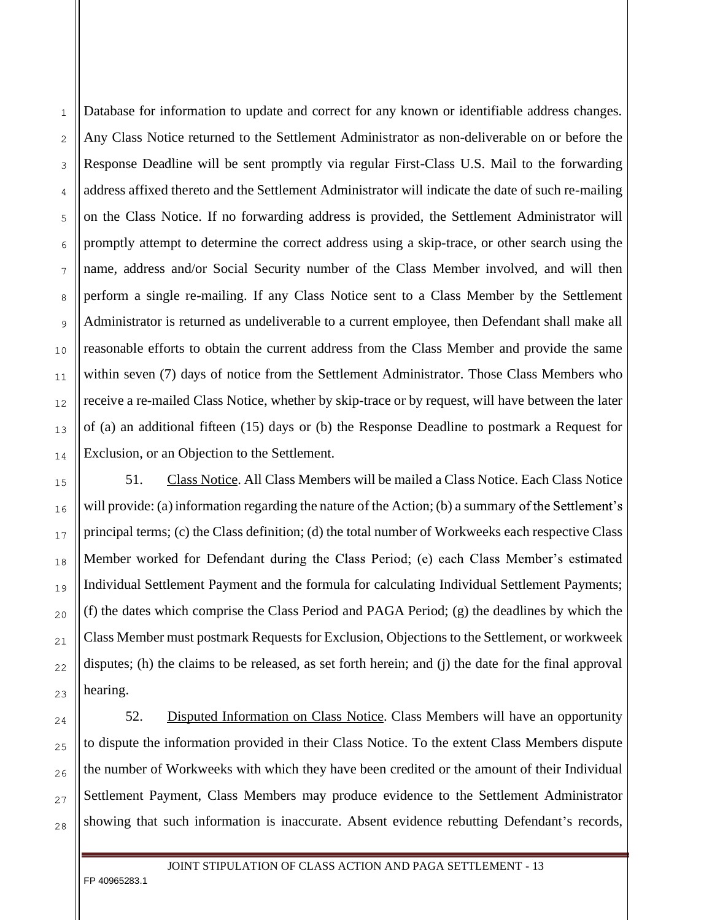Database for information to update and correct for any known or identifiable address changes. Any Class Notice returned to the Settlement Administrator as non-deliverable on or before the Response Deadline will be sent promptly via regular First-Class U.S. Mail to the forwarding address affixed thereto and the Settlement Administrator will indicate the date of such re-mailing on the Class Notice. If no forwarding address is provided, the Settlement Administrator will promptly attempt to determine the correct address using a skip-trace, or other search using the name, address and/or Social Security number of the Class Member involved, and will then perform a single re-mailing. If any Class Notice sent to a Class Member by the Settlement Administrator is returned as undeliverable to a current employee, then Defendant shall make all reasonable efforts to obtain the current address from the Class Member and provide the same within seven (7) days of notice from the Settlement Administrator. Those Class Members who receive a re-mailed Class Notice, whether by skip-trace or by request, will have between the later of (a) an additional fifteen (15) days or (b) the Response Deadline to postmark a Request for Exclusion, or an Objection to the Settlement.

51. Class Notice. All Class Members will be mailed a Class Notice. Each Class Notice will provide: (a) information regarding the nature of the Action; (b) a summary of the Settlement's principal terms; (c) the Class definition; (d) the total number of Workweeks each respective Class Member worked for Defendant during the Class Period; (e) each Class Member's estimated Individual Settlement Payment and the formula for calculating Individual Settlement Payments; (f) the dates which comprise the Class Period and PAGA Period; (g) the deadlines by which the Class Member must postmark Requests for Exclusion, Objections to the Settlement, or workweek disputes; (h) the claims to be released, as set forth herein; and (j) the date for the final approval hearing.

52. Disputed Information on Class Notice. Class Members will have an opportunity to dispute the information provided in their Class Notice. To the extent Class Members dispute the number of Workweeks with which they have been credited or the amount of their Individual Settlement Payment, Class Members may produce evidence to the Settlement Administrator showing that such information is inaccurate. Absent evidence rebutting Defendant's records,

FP 40965283.1

 $\mathbf{1}$ 

 $\overline{2}$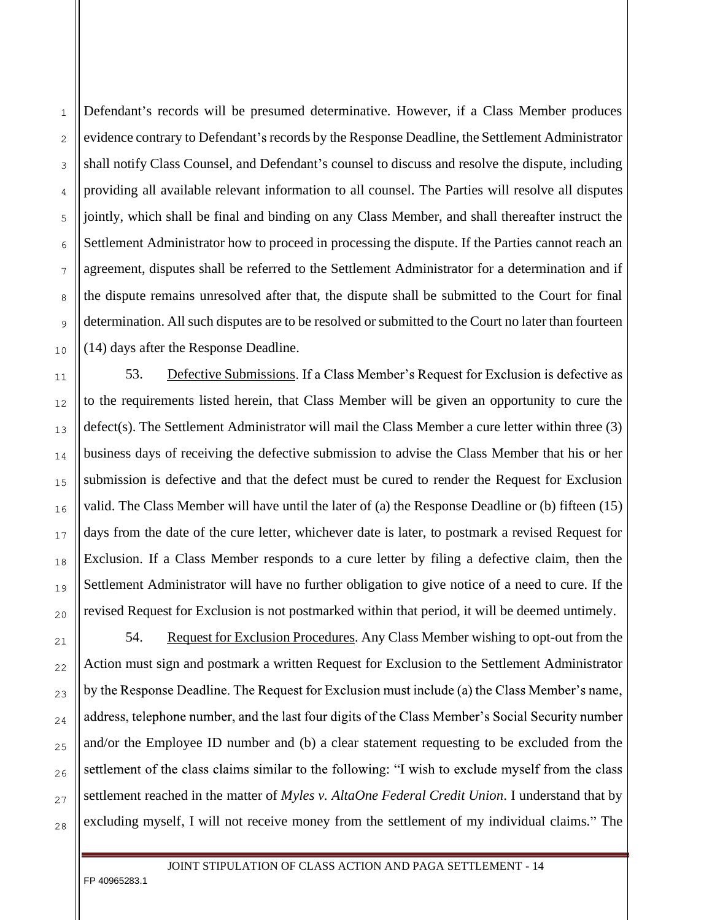Defendant's records will be presumed determinative. However, if a Class Member produces evidence contrary to Defendant's records by the Response Deadline, the Settlement Administrator shall notify Class Counsel, and Defendant's counsel to discuss and resolve the dispute, including providing all available relevant information to all counsel. The Parties will resolve all disputes jointly, which shall be final and binding on any Class Member, and shall thereafter instruct the Settlement Administrator how to proceed in processing the dispute. If the Parties cannot reach an agreement, disputes shall be referred to the Settlement Administrator for a determination and if the dispute remains unresolved after that, the dispute shall be submitted to the Court for final determination. All such disputes are to be resolved or submitted to the Court no later than fourteen (14) days after the Response Deadline.

53. Defective Submissions. If a Class Member's Request for Exclusion is defective as to the requirements listed herein, that Class Member will be given an opportunity to cure the defect(s). The Settlement Administrator will mail the Class Member a cure letter within three (3) business days of receiving the defective submission to advise the Class Member that his or her submission is defective and that the defect must be cured to render the Request for Exclusion valid. The Class Member will have until the later of (a) the Response Deadline or (b) fifteen (15) days from the date of the cure letter, whichever date is later, to postmark a revised Request for Exclusion. If a Class Member responds to a cure letter by filing a defective claim, then the Settlement Administrator will have no further obligation to give notice of a need to cure. If the revised Request for Exclusion is not postmarked within that period, it will be deemed untimely.

54. Request for Exclusion Procedures. Any Class Member wishing to opt-out from the Action must sign and postmark a written Request for Exclusion to the Settlement Administrator by the Response Deadline. The Request for Exclusion must include (a) the Class Member's name, address, telephone number, and the last four digits of the Class Member's Social Security number and/or the Employee ID number and (b) a clear statement requesting to be excluded from the settlement of the class claims similar to the following: "I wish to exclude myself from the class settlement reached in the matter of *Myles v. AltaOne Federal Credit Union*. I understand that by excluding myself, I will not receive money from the settlement of my individual claims. The

JOINT STIPULATION OF CLASS ACTION AND PAGA SETTLEMENT **-** 14

FP 40965283.1

 $\mathbf{1}$ 

 $\overline{2}$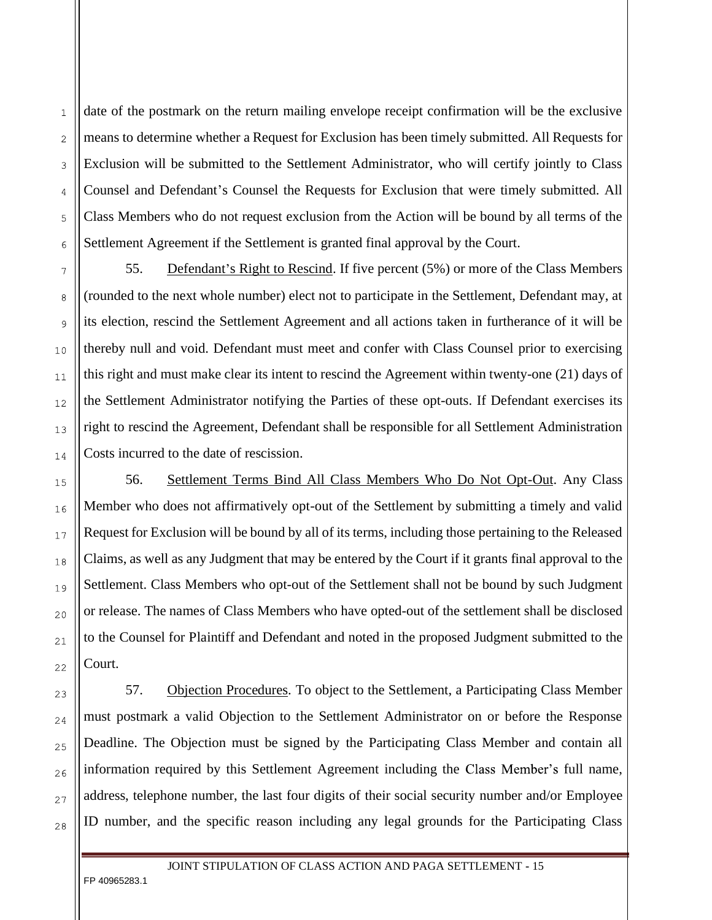date of the postmark on the return mailing envelope receipt confirmation will be the exclusive means to determine whether a Request for Exclusion has been timely submitted. All Requests for Exclusion will be submitted to the Settlement Administrator, who will certify jointly to Class Counsel and Defendant's Counsel the Requests for Exclusion that were timely submitted. All Class Members who do not request exclusion from the Action will be bound by all terms of the Settlement Agreement if the Settlement is granted final approval by the Court.

55. Defendant's Right to Rescind. If five percent (5%) or more of the Class Members (rounded to the next whole number) elect not to participate in the Settlement, Defendant may, at its election, rescind the Settlement Agreement and all actions taken in furtherance of it will be thereby null and void. Defendant must meet and confer with Class Counsel prior to exercising this right and must make clear its intent to rescind the Agreement within twenty-one (21) days of the Settlement Administrator notifying the Parties of these opt-outs. If Defendant exercises its right to rescind the Agreement, Defendant shall be responsible for all Settlement Administration Costs incurred to the date of rescission.

56. Settlement Terms Bind All Class Members Who Do Not Opt-Out. Any Class Member who does not affirmatively opt-out of the Settlement by submitting a timely and valid Request for Exclusion will be bound by all of its terms, including those pertaining to the Released Claims, as well as any Judgment that may be entered by the Court if it grants final approval to the Settlement. Class Members who opt-out of the Settlement shall not be bound by such Judgment or release. The names of Class Members who have opted-out of the settlement shall be disclosed to the Counsel for Plaintiff and Defendant and noted in the proposed Judgment submitted to the Court.

57. Objection Procedures. To object to the Settlement, a Participating Class Member must postmark a valid Objection to the Settlement Administrator on or before the Response Deadline. The Objection must be signed by the Participating Class Member and contain all information required by this Settlement Agreement including the Class Member's full name, address, telephone number, the last four digits of their social security number and/or Employee ID number, and the specific reason including any legal grounds for the Participating Class

FP 40965283.1

 $\mathbf{1}$ 

 $\overline{2}$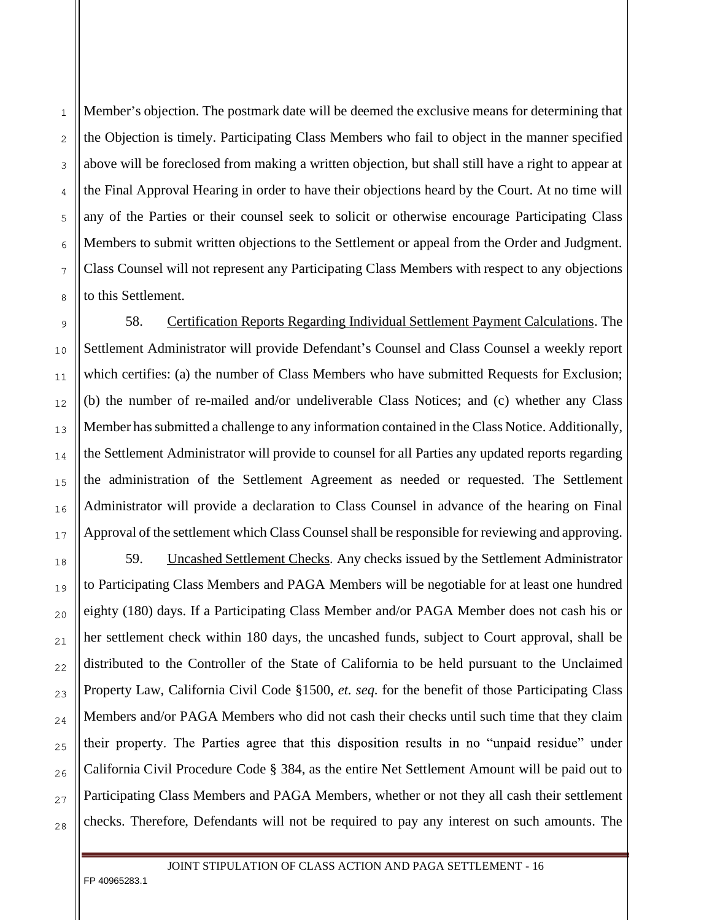Member's objection. The postmark date will be deemed the exclusive means for determining that the Objection is timely. Participating Class Members who fail to object in the manner specified above will be foreclosed from making a written objection, but shall still have a right to appear at the Final Approval Hearing in order to have their objections heard by the Court. At no time will any of the Parties or their counsel seek to solicit or otherwise encourage Participating Class Members to submit written objections to the Settlement or appeal from the Order and Judgment. Class Counsel will not represent any Participating Class Members with respect to any objections to this Settlement.

58. Certification Reports Regarding Individual Settlement Payment Calculations. The Settlement Administrator will provide Defendant's Counsel and Class Counsel a weekly report which certifies: (a) the number of Class Members who have submitted Requests for Exclusion; (b) the number of re-mailed and/or undeliverable Class Notices; and (c) whether any Class Member has submitted a challenge to any information contained in the Class Notice. Additionally, the Settlement Administrator will provide to counsel for all Parties any updated reports regarding the administration of the Settlement Agreement as needed or requested. The Settlement Administrator will provide a declaration to Class Counsel in advance of the hearing on Final Approval of the settlement which Class Counsel shall be responsible for reviewing and approving.

59. Uncashed Settlement Checks. Any checks issued by the Settlement Administrator to Participating Class Members and PAGA Members will be negotiable for at least one hundred eighty (180) days. If a Participating Class Member and/or PAGA Member does not cash his or her settlement check within 180 days, the uncashed funds, subject to Court approval, shall be distributed to the Controller of the State of California to be held pursuant to the Unclaimed Property Law, California Civil Code §1500, *et. seq*. for the benefit of those Participating Class Members and/or PAGA Members who did not cash their checks until such time that they claim their property. The Parties agree that this disposition results in no "unpaid residue" under California Civil Procedure Code § 384, as the entire Net Settlement Amount will be paid out to Participating Class Members and PAGA Members, whether or not they all cash their settlement checks. Therefore, Defendants will not be required to pay any interest on such amounts. The

FP 40965283.1

 $\mathbf{1}$ 

 $\overline{2}$ 

3

 $\overline{A}$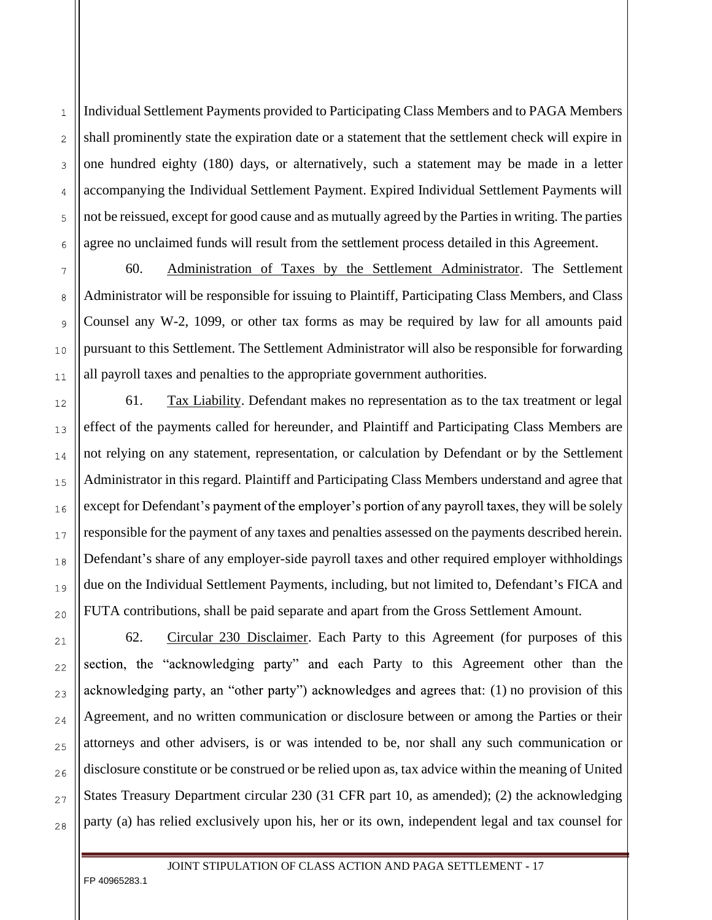Individual Settlement Payments provided to Participating Class Members and to PAGA Members shall prominently state the expiration date or a statement that the settlement check will expire in one hundred eighty (180) days, or alternatively, such a statement may be made in a letter accompanying the Individual Settlement Payment. Expired Individual Settlement Payments will not be reissued, except for good cause and as mutually agreed by the Parties in writing. The parties agree no unclaimed funds will result from the settlement process detailed in this Agreement.

60. Administration of Taxes by the Settlement Administrator. The Settlement Administrator will be responsible for issuing to Plaintiff, Participating Class Members, and Class Counsel any W-2, 1099, or other tax forms as may be required by law for all amounts paid pursuant to this Settlement. The Settlement Administrator will also be responsible for forwarding all payroll taxes and penalties to the appropriate government authorities.

61. Tax Liability. Defendant makes no representation as to the tax treatment or legal effect of the payments called for hereunder, and Plaintiff and Participating Class Members are not relying on any statement, representation, or calculation by Defendant or by the Settlement Administrator in this regard. Plaintiff and Participating Class Members understand and agree that except for Defendant's payment of the employer's portion of any payroll taxes, they will be solely responsible for the payment of any taxes and penalties assessed on the payments described herein. Defendant's share of any employer-side payroll taxes and other required employer withholdings due on the Individual Settlement Payments, including, but not limited to, Defendant's FICA and FUTA contributions, shall be paid separate and apart from the Gross Settlement Amount.

62. Circular 230 Disclaimer. Each Party to this Agreement (for purposes of this section, the "acknowledging party" and each Party to this Agreement other than the acknowledging party, an "other party") acknowledges and agrees that: (1) no provision of this Agreement, and no written communication or disclosure between or among the Parties or their attorneys and other advisers, is or was intended to be, nor shall any such communication or disclosure constitute or be construed or be relied upon as, tax advice within the meaning of United States Treasury Department circular 230 (31 CFR part 10, as amended); (2) the acknowledging party (a) has relied exclusively upon his, her or its own, independent legal and tax counsel for

JOINT STIPULATION OF CLASS ACTION AND PAGA SETTLEMENT **-** 17

FP 40965283.1

 $\mathbf{1}$ 

 $\overline{2}$ 

3

 $\overline{A}$ 

5

6

 $\overline{7}$ 

8

9

 $10$ 

 $11$ 

 $12$ 

13

14

 $1.5$ 

16

 $17$ 

18

19

 $20$ 

 $21$ 

 $22$ 

23

24

25

26

27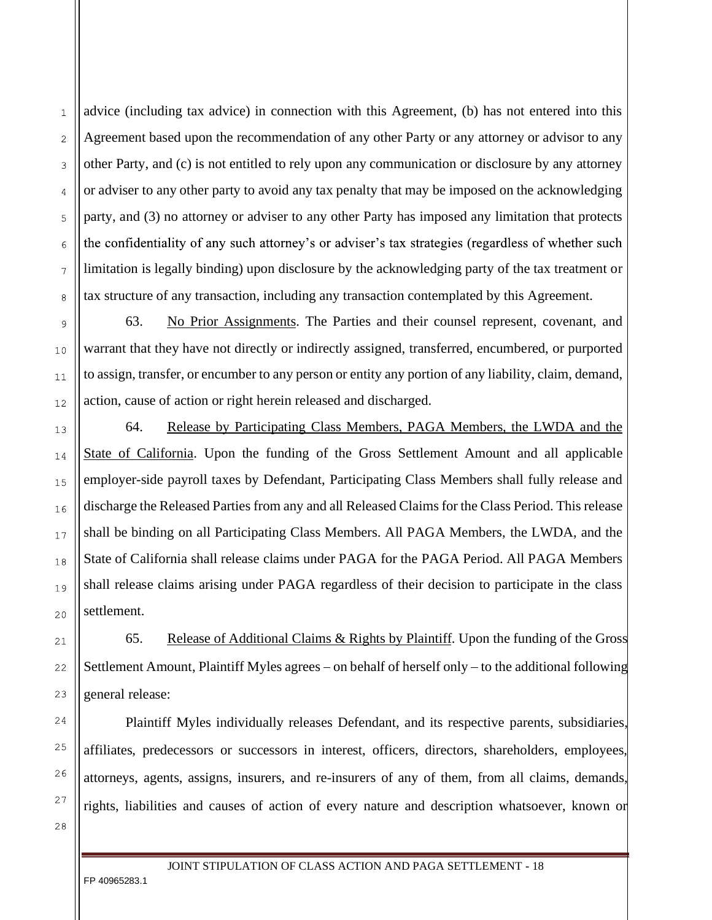advice (including tax advice) in connection with this Agreement, (b) has not entered into this Agreement based upon the recommendation of any other Party or any attorney or advisor to any other Party, and (c) is not entitled to rely upon any communication or disclosure by any attorney or adviser to any other party to avoid any tax penalty that may be imposed on the acknowledging party, and (3) no attorney or adviser to any other Party has imposed any limitation that protects the confidentiality of any such attorney's or adviser's tax strategies (regardless of whether such limitation is legally binding) upon disclosure by the acknowledging party of the tax treatment or tax structure of any transaction, including any transaction contemplated by this Agreement.

63. No Prior Assignments. The Parties and their counsel represent, covenant, and warrant that they have not directly or indirectly assigned, transferred, encumbered, or purported to assign, transfer, or encumber to any person or entity any portion of any liability, claim, demand, action, cause of action or right herein released and discharged.

64. Release by Participating Class Members, PAGA Members, the LWDA and the State of California. Upon the funding of the Gross Settlement Amount and all applicable employer-side payroll taxes by Defendant, Participating Class Members shall fully release and discharge the Released Parties from any and all Released Claims for the Class Period. This release shall be binding on all Participating Class Members. All PAGA Members, the LWDA, and the State of California shall release claims under PAGA for the PAGA Period. All PAGA Members shall release claims arising under PAGA regardless of their decision to participate in the class settlement.

65. Release of Additional Claims  $&$  Rights by Plaintiff. Upon the funding of the Gross Settlement Amount, Plaintiff Myles agrees – on behalf of herself only – to the additional following general release:

Plaintiff Myles individually releases Defendant, and its respective parents, subsidiaries, affiliates, predecessors or successors in interest, officers, directors, shareholders, employees, attorneys, agents, assigns, insurers, and re-insurers of any of them, from all claims, demands, rights, liabilities and causes of action of every nature and description whatsoever, known or

27 28

 $\mathbf{1}$ 

 $\overline{2}$ 

3

 $\overline{A}$ 

5

6

 $\overline{7}$ 

8

9

 $10$ 

 $11$ 

 $12$ 

13

14

1.5

16

 $17$ 

18

19

 $20$ 

 $21$ 

22

23

24

25

26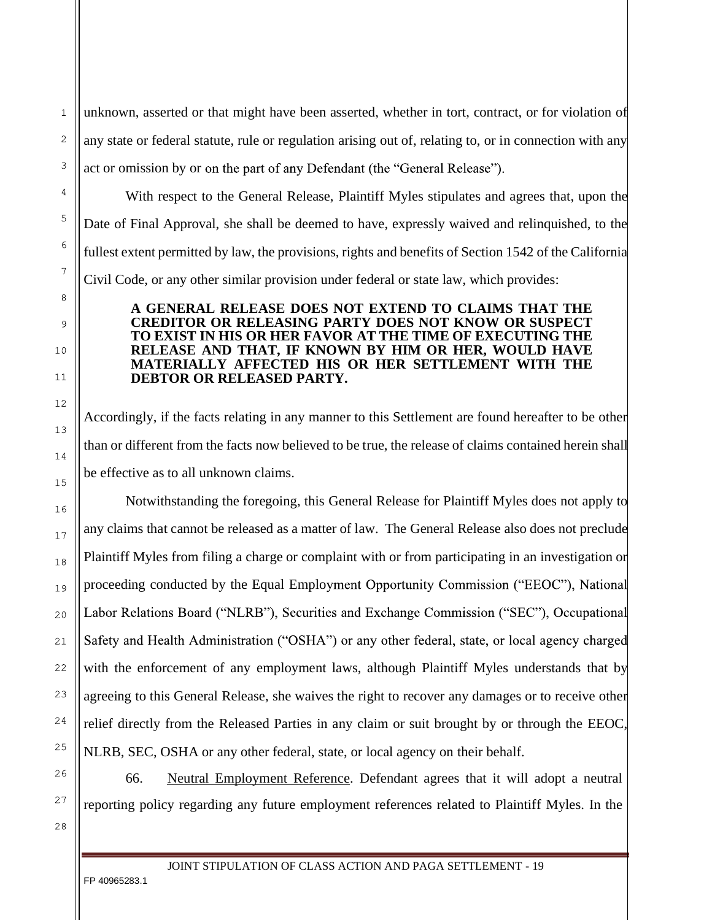unknown, asserted or that might have been asserted, whether in tort, contract, or for violation of any state or federal statute, rule or regulation arising out of, relating to, or in connection with any act or omission by or on the part of any Defendant (the "General Release").

With respect to the General Release, Plaintiff Myles stipulates and agrees that, upon the Date of Final Approval, she shall be deemed to have, expressly waived and relinquished, to the fullest extent permitted by law, the provisions, rights and benefits of Section 1542 of the California Civil Code, or any other similar provision under federal or state law, which provides:

## **A GENERAL RELEASE DOES NOT EXTEND TO CLAIMS THAT THE CREDITOR OR RELEASING PARTY DOES NOT KNOW OR SUSPECT TO EXIST IN HIS OR HER FAVOR AT THE TIME OF EXECUTING THE RELEASE AND THAT, IF KNOWN BY HIM OR HER, WOULD HAVE MATERIALLY AFFECTED HIS OR HER SETTLEMENT WITH THE DEBTOR OR RELEASED PARTY.**

Accordingly, if the facts relating in any manner to this Settlement are found hereafter to be other than or different from the facts now believed to be true, the release of claims contained herein shall be effective as to all unknown claims.

Notwithstanding the foregoing, this General Release for Plaintiff Myles does not apply to any claims that cannot be released as a matter of law. The General Release also does not preclude Plaintiff Myles from filing a charge or complaint with or from participating in an investigation or proceeding conducted by the Equal Employment Opportunity Commission ("EEOC"), National Labor Relations Board ("NLRB"), Securities and Exchange Commission ("SEC"), Occupational Safety and Health Administration ("OSHA") or any other federal, state, or local agency charged with the enforcement of any employment laws, although Plaintiff Myles understands that by agreeing to this General Release, she waives the right to recover any damages or to receive other relief directly from the Released Parties in any claim or suit brought by or through the EEOC, NLRB, SEC, OSHA or any other federal, state, or local agency on their behalf.

66. Neutral Employment Reference. Defendant agrees that it will adopt a neutral reporting policy regarding any future employment references related to Plaintiff Myles. In the

28

 $\mathbf{1}$ 

 $\overline{c}$ 

3

 $\overline{4}$ 

5

6

 $\overline{7}$ 

8

9

 $10$ 

 $11$ 

 $12$ 

13

14

1.5

16

 $17$ 

18

19

 $20$ 

 $21$ 

 $22$ 

23

24

25

26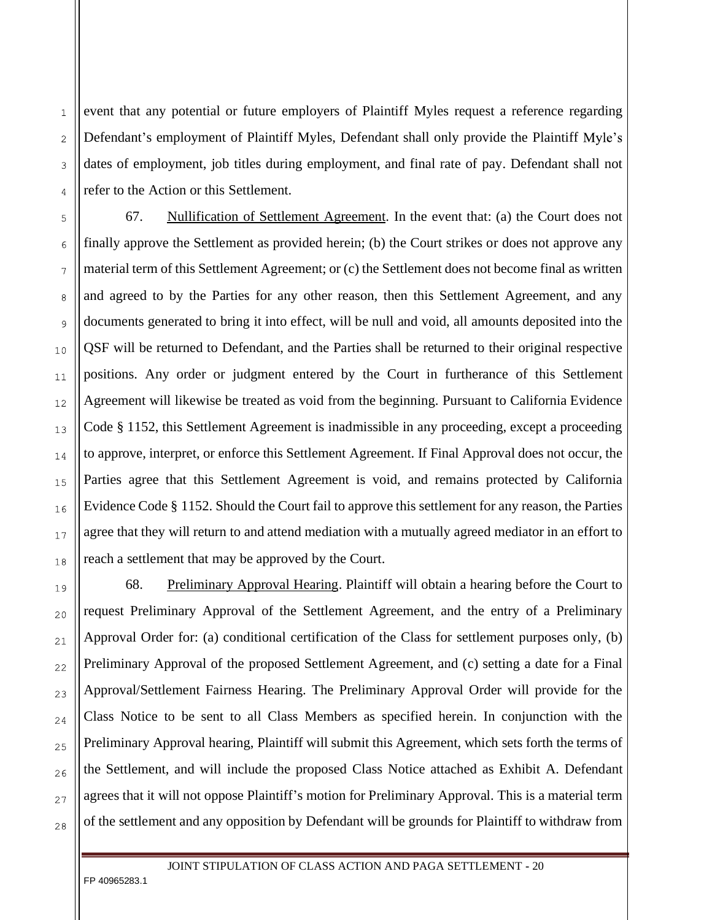event that any potential or future employers of Plaintiff Myles request a reference regarding Defendant's employment of Plaintiff Myles, Defendant shall only provide the Plaintiff Myle's dates of employment, job titles during employment, and final rate of pay. Defendant shall not refer to the Action or this Settlement.

67. Nullification of Settlement Agreement. In the event that: (a) the Court does not finally approve the Settlement as provided herein; (b) the Court strikes or does not approve any material term of this Settlement Agreement; or (c) the Settlement does not become final as written and agreed to by the Parties for any other reason, then this Settlement Agreement, and any documents generated to bring it into effect, will be null and void, all amounts deposited into the QSF will be returned to Defendant, and the Parties shall be returned to their original respective positions. Any order or judgment entered by the Court in furtherance of this Settlement Agreement will likewise be treated as void from the beginning. Pursuant to California Evidence Code § 1152, this Settlement Agreement is inadmissible in any proceeding, except a proceeding to approve, interpret, or enforce this Settlement Agreement. If Final Approval does not occur, the Parties agree that this Settlement Agreement is void, and remains protected by California Evidence Code § 1152. Should the Court fail to approve this settlement for any reason, the Parties agree that they will return to and attend mediation with a mutually agreed mediator in an effort to reach a settlement that may be approved by the Court.

68. Preliminary Approval Hearing. Plaintiff will obtain a hearing before the Court to request Preliminary Approval of the Settlement Agreement, and the entry of a Preliminary Approval Order for: (a) conditional certification of the Class for settlement purposes only, (b) Preliminary Approval of the proposed Settlement Agreement, and (c) setting a date for a Final Approval/Settlement Fairness Hearing. The Preliminary Approval Order will provide for the Class Notice to be sent to all Class Members as specified herein. In conjunction with the Preliminary Approval hearing, Plaintiff will submit this Agreement, which sets forth the terms of the Settlement, and will include the proposed Class Notice attached as Exhibit A. Defendant agrees that it will not oppose Plaintiff's motion for Preliminary Approval. This is a material term of the settlement and any opposition by Defendant will be grounds for Plaintiff to withdraw from

FP 40965283.1

 $\mathbf{1}$ 

 $\overline{2}$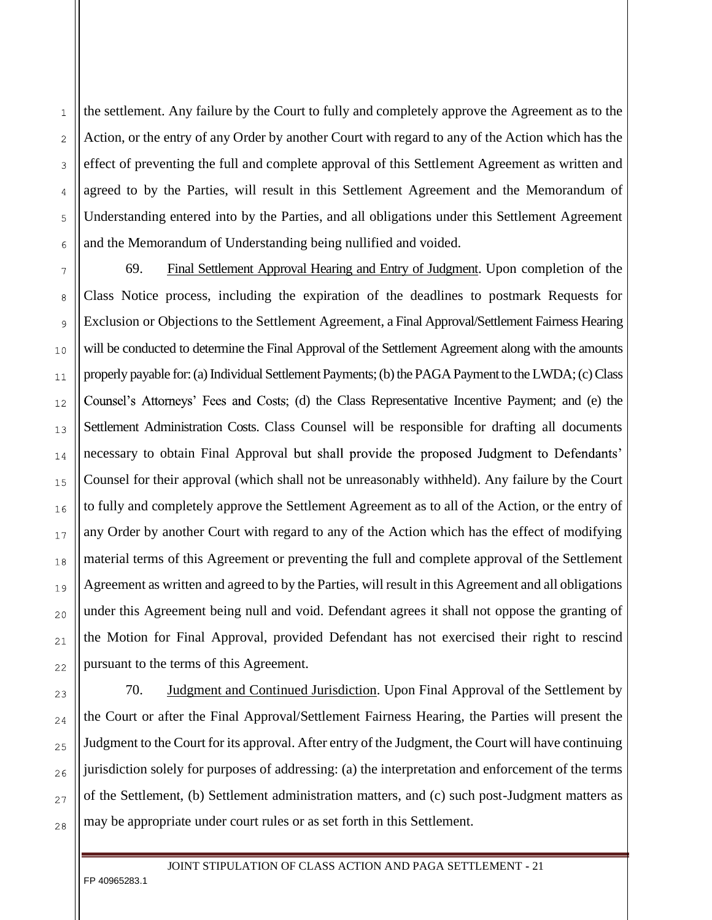the settlement. Any failure by the Court to fully and completely approve the Agreement as to the Action, or the entry of any Order by another Court with regard to any of the Action which has the effect of preventing the full and complete approval of this Settlement Agreement as written and agreed to by the Parties, will result in this Settlement Agreement and the Memorandum of Understanding entered into by the Parties, and all obligations under this Settlement Agreement and the Memorandum of Understanding being nullified and voided.

69. Final Settlement Approval Hearing and Entry of Judgment. Upon completion of the Class Notice process, including the expiration of the deadlines to postmark Requests for Exclusion or Objections to the Settlement Agreement, a Final Approval/Settlement Fairness Hearing will be conducted to determine the Final Approval of the Settlement Agreement along with the amounts properly payable for: (a) Individual Settlement Payments; (b) the PAGA Payment to the LWDA; (c) Class Counsel's Attorneys' Fees and Costs; (d) the Class Representative Incentive Payment; and (e) the Settlement Administration Costs. Class Counsel will be responsible for drafting all documents necessary to obtain Final Approval but shall provide the proposed Judgment to Defendants' Counsel for their approval (which shall not be unreasonably withheld). Any failure by the Court to fully and completely approve the Settlement Agreement as to all of the Action, or the entry of any Order by another Court with regard to any of the Action which has the effect of modifying material terms of this Agreement or preventing the full and complete approval of the Settlement Agreement as written and agreed to by the Parties, will result in this Agreement and all obligations under this Agreement being null and void. Defendant agrees it shall not oppose the granting of the Motion for Final Approval, provided Defendant has not exercised their right to rescind pursuant to the terms of this Agreement.

70. **Judgment and Continued Jurisdiction**. Upon Final Approval of the Settlement by the Court or after the Final Approval/Settlement Fairness Hearing, the Parties will present the Judgment to the Court for its approval. After entry of the Judgment, the Court will have continuing jurisdiction solely for purposes of addressing: (a) the interpretation and enforcement of the terms of the Settlement, (b) Settlement administration matters, and (c) such post-Judgment matters as may be appropriate under court rules or as set forth in this Settlement.

FP 40965283.1

 $22$ 

23

24

 $25$ 

26

27

28

 $\mathbf{1}$ 

 $\overline{2}$ 

3

 $\overline{A}$ 

5

6

 $\overline{7}$ 

8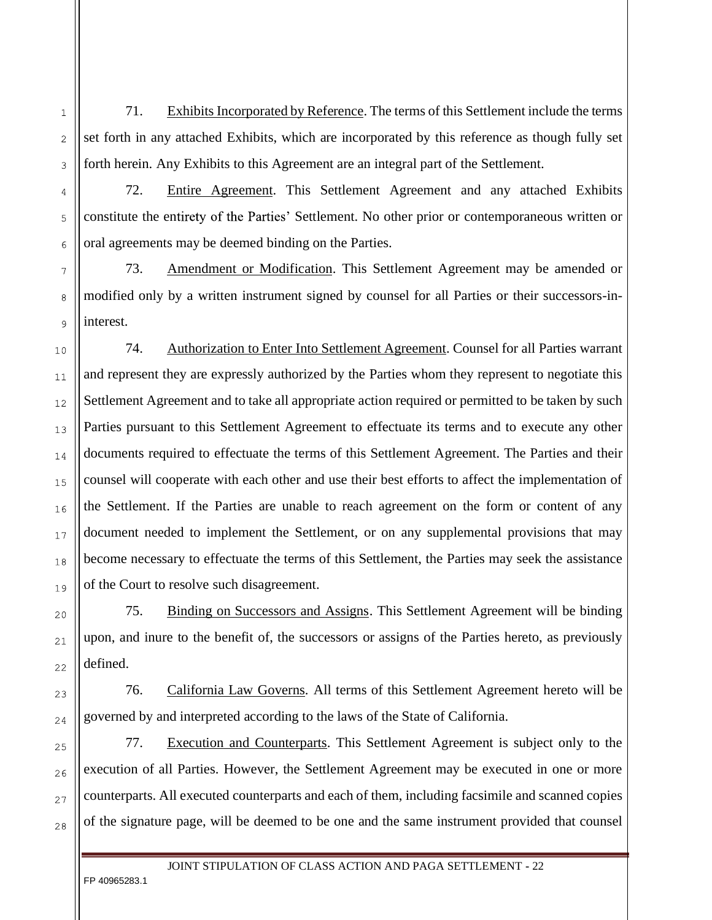71. Exhibits Incorporated by Reference. The terms of this Settlement include the terms set forth in any attached Exhibits, which are incorporated by this reference as though fully set forth herein. Any Exhibits to this Agreement are an integral part of the Settlement.

72. Entire Agreement. This Settlement Agreement and any attached Exhibits constitute the entirety of the Parties' Settlement. No other prior or contemporaneous written or oral agreements may be deemed binding on the Parties.

73. Amendment or Modification. This Settlement Agreement may be amended or modified only by a written instrument signed by counsel for all Parties or their successors-ininterest.

74. Authorization to Enter Into Settlement Agreement. Counsel for all Parties warrant and represent they are expressly authorized by the Parties whom they represent to negotiate this Settlement Agreement and to take all appropriate action required or permitted to be taken by such Parties pursuant to this Settlement Agreement to effectuate its terms and to execute any other documents required to effectuate the terms of this Settlement Agreement. The Parties and their counsel will cooperate with each other and use their best efforts to affect the implementation of the Settlement. If the Parties are unable to reach agreement on the form or content of any document needed to implement the Settlement, or on any supplemental provisions that may become necessary to effectuate the terms of this Settlement, the Parties may seek the assistance of the Court to resolve such disagreement.

75. Binding on Successors and Assigns. This Settlement Agreement will be binding upon, and inure to the benefit of, the successors or assigns of the Parties hereto, as previously defined.

76. California Law Governs. All terms of this Settlement Agreement hereto will be governed by and interpreted according to the laws of the State of California.

77. Execution and Counterparts. This Settlement Agreement is subject only to the execution of all Parties. However, the Settlement Agreement may be executed in one or more counterparts. All executed counterparts and each of them, including facsimile and scanned copies of the signature page, will be deemed to be one and the same instrument provided that counsel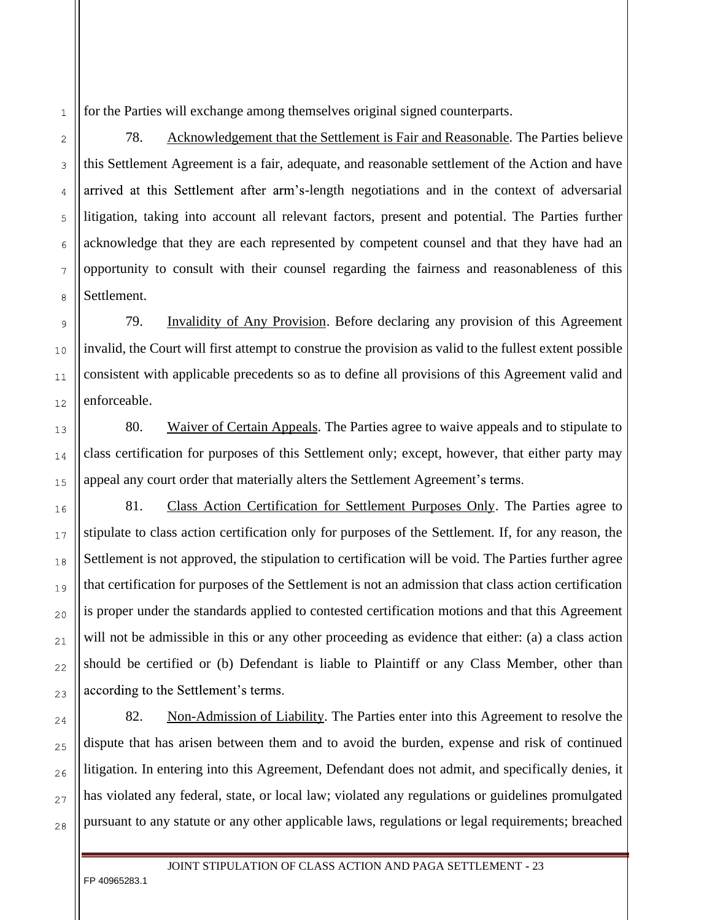for the Parties will exchange among themselves original signed counterparts.

78. Acknowledgement that the Settlement is Fair and Reasonable. The Parties believe this Settlement Agreement is a fair, adequate, and reasonable settlement of the Action and have arrived at this Settlement after arm's-length negotiations and in the context of adversarial litigation, taking into account all relevant factors, present and potential. The Parties further acknowledge that they are each represented by competent counsel and that they have had an opportunity to consult with their counsel regarding the fairness and reasonableness of this Settlement.

79. Invalidity of Any Provision. Before declaring any provision of this Agreement invalid, the Court will first attempt to construe the provision as valid to the fullest extent possible consistent with applicable precedents so as to define all provisions of this Agreement valid and enforceable.

80. Waiver of Certain Appeals. The Parties agree to waive appeals and to stipulate to class certification for purposes of this Settlement only; except, however, that either party may appeal any court order that materially alters the Settlement Agreement's terms.

81. Class Action Certification for Settlement Purposes Only. The Parties agree to stipulate to class action certification only for purposes of the Settlement. If, for any reason, the Settlement is not approved, the stipulation to certification will be void. The Parties further agree that certification for purposes of the Settlement is not an admission that class action certification is proper under the standards applied to contested certification motions and that this Agreement will not be admissible in this or any other proceeding as evidence that either: (a) a class action should be certified or (b) Defendant is liable to Plaintiff or any Class Member, other than according to the Settlement's terms.

82. Non-Admission of Liability. The Parties enter into this Agreement to resolve the dispute that has arisen between them and to avoid the burden, expense and risk of continued litigation. In entering into this Agreement, Defendant does not admit, and specifically denies, it has violated any federal, state, or local law; violated any regulations or guidelines promulgated pursuant to any statute or any other applicable laws, regulations or legal requirements; breached

JOINT STIPULATION OF CLASS ACTION AND PAGA SETTLEMENT **-** 23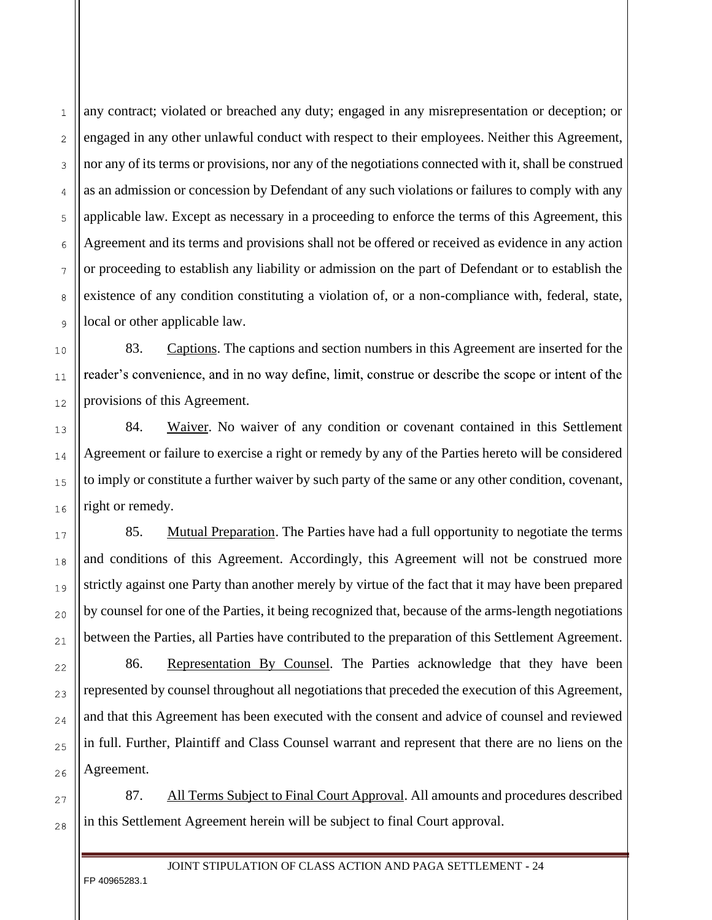any contract; violated or breached any duty; engaged in any misrepresentation or deception; or engaged in any other unlawful conduct with respect to their employees. Neither this Agreement, nor any of its terms or provisions, nor any of the negotiations connected with it, shall be construed as an admission or concession by Defendant of any such violations or failures to comply with any applicable law. Except as necessary in a proceeding to enforce the terms of this Agreement, this Agreement and its terms and provisions shall not be offered or received as evidence in any action or proceeding to establish any liability or admission on the part of Defendant or to establish the existence of any condition constituting a violation of, or a non-compliance with, federal, state, local or other applicable law.

83. Captions. The captions and section numbers in this Agreement are inserted for the reader's convenience, and in no way define, limit, construe or describe the scope or intent of the provisions of this Agreement.

84. Waiver. No waiver of any condition or covenant contained in this Settlement Agreement or failure to exercise a right or remedy by any of the Parties hereto will be considered to imply or constitute a further waiver by such party of the same or any other condition, covenant, right or remedy.

85. Mutual Preparation. The Parties have had a full opportunity to negotiate the terms and conditions of this Agreement. Accordingly, this Agreement will not be construed more strictly against one Party than another merely by virtue of the fact that it may have been prepared by counsel for one of the Parties, it being recognized that, because of the arms-length negotiations between the Parties, all Parties have contributed to the preparation of this Settlement Agreement.

86. Representation By Counsel. The Parties acknowledge that they have been represented by counsel throughout all negotiations that preceded the execution of this Agreement, and that this Agreement has been executed with the consent and advice of counsel and reviewed in full. Further, Plaintiff and Class Counsel warrant and represent that there are no liens on the Agreement.

87. All Terms Subject to Final Court Approval. All amounts and procedures described in this Settlement Agreement herein will be subject to final Court approval.

FP 40965283.1

 $\mathbf{1}$ 

 $\overline{2}$ 

3

4

5

6

 $\overline{7}$ 

8

9

 $10$ 

 $11$ 

 $12$ 

13

14

 $1.5$ 

16

 $17$ 

18

19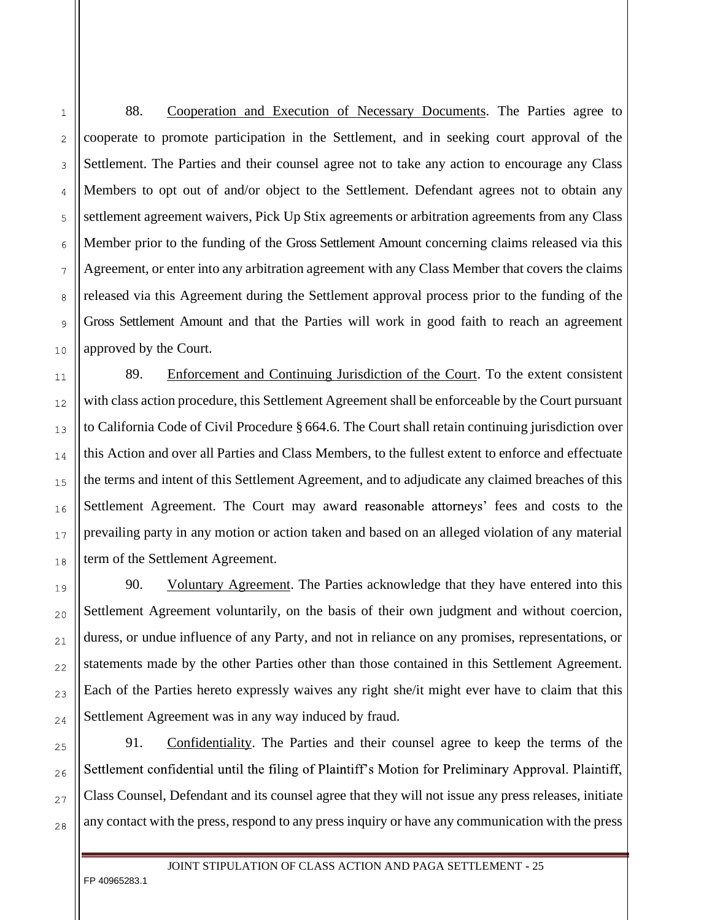88. Cooperation and Execution of Necessary Documents. The Parties agree to cooperate to promote participation in the Settlement, and in seeking court approval of the Settlement. The Parties and their counsel agree not to take any action to encourage any Class Members to opt out of and/or object to the Settlement. Defendant agrees not to obtain any settlement agreement waivers, Pick Up Stix agreements or arbitration agreements from any Class Member prior to the funding of the Gross Settlement Amount concerning claims released via this Agreement, or enter into any arbitration agreement with any Class Member that covers the claims released via this Agreement during the Settlement approval process prior to the funding of the Gross Settlement Amount and that the Parties will work in good faith to reach an agreement approved by the Court.

89. Enforcement and Continuing Jurisdiction of the Court. To the extent consistent with class action procedure, this Settlement Agreement shall be enforceable by the Court pursuant to California Code of Civil Procedure § 664.6. The Court shall retain continuing jurisdiction over this Action and over all Parties and Class Members, to the fullest extent to enforce and effectuate the terms and intent of this Settlement Agreement, and to adjudicate any claimed breaches of this Settlement Agreement. The Court may award reasonable attorneys' fees and costs to the prevailing party in any motion or action taken and based on an alleged violation of any material term of the Settlement Agreement.

90. Voluntary Agreement. The Parties acknowledge that they have entered into this Settlement Agreement voluntarily, on the basis of their own judgment and without coercion, duress, or undue influence of any Party, and not in reliance on any promises, representations, or statements made by the other Parties other than those contained in this Settlement Agreement. Each of the Parties hereto expressly waives any right she/it might ever have to claim that this Settlement Agreement was in any way induced by fraud.

91. Confidentiality. The Parties and their counsel agree to keep the terms of the Settlement confidential until the filing of Plaintiff's Motion for Preliminary Approval. Plaintiff, Class Counsel, Defendant and its counsel agree that they will not issue any press releases, initiate any contact with the press, respond to any press inquiry or have any communication with the press

FP 40965283.1

5

6

 $\overline{7}$ 

8

9

 $10$ 

 $11$ 

 $12$ 

13

14

1.5

16

 $17$ 

18

19

 $20$ 

 $21$ 

22

23

24

 $25$ 

26

27

28

 $\mathbf{1}$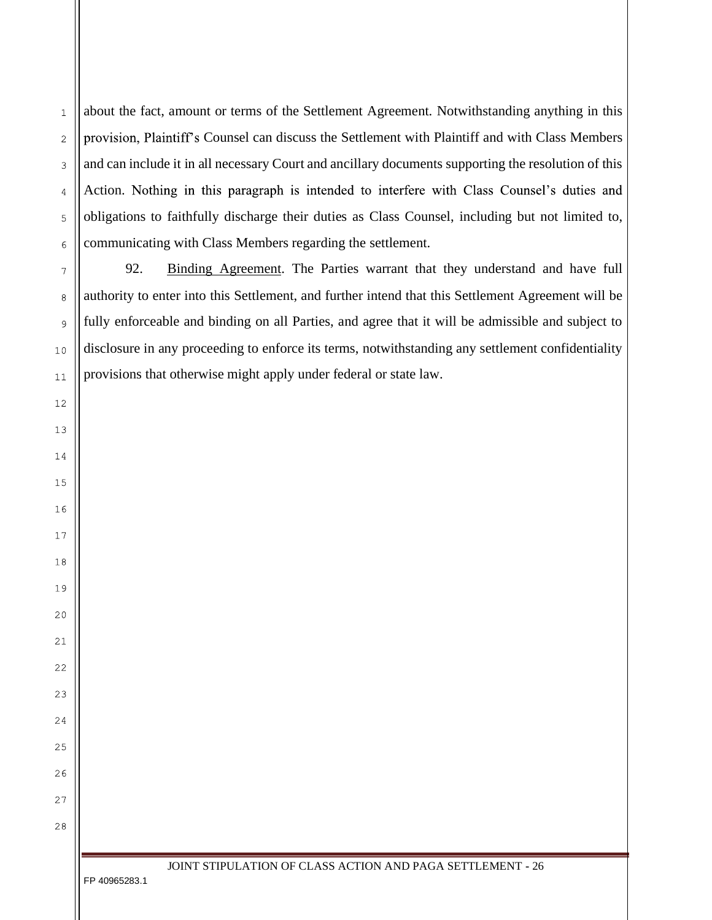about the fact, amount or terms of the Settlement Agreement. Notwithstanding anything in this provision, Plaintiff's Counsel can discuss the Settlement with Plaintiff and with Class Members and can include it in all necessary Court and ancillary documents supporting the resolution of this Action. Nothing in this paragraph is intended to interfere with Class Counsel's duties and obligations to faithfully discharge their duties as Class Counsel, including but not limited to, communicating with Class Members regarding the settlement.

92. Binding Agreement. The Parties warrant that they understand and have full authority to enter into this Settlement, and further intend that this Settlement Agreement will be fully enforceable and binding on all Parties, and agree that it will be admissible and subject to disclosure in any proceeding to enforce its terms, notwithstanding any settlement confidentiality provisions that otherwise might apply under federal or state law.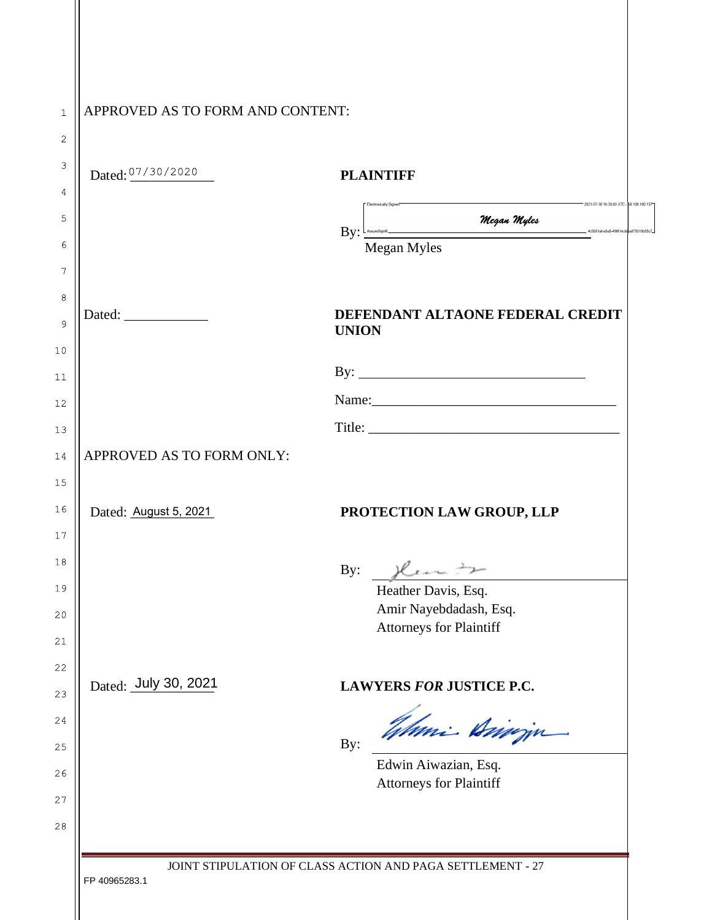| Dated: $07/30/2020$       | <b>PLAINTIFF</b>                                                                                                         |
|---------------------------|--------------------------------------------------------------------------------------------------------------------------|
|                           | 2021-07-30 16:30:40 UTC - B8.108.180.137<br>By: <u>Commerce mean Megan Myles</u><br>4c5051af-a5a5-498f-bcdd-ad75010b55c7 |
|                           | Megan Myles                                                                                                              |
|                           |                                                                                                                          |
| Dated:                    | DEFENDANT ALTAONE FEDERAL CREDIT<br><b>UNION</b>                                                                         |
|                           | By: $\qquad \qquad$                                                                                                      |
|                           |                                                                                                                          |
|                           |                                                                                                                          |
| APPROVED AS TO FORM ONLY: |                                                                                                                          |
| Dated: August 5, 2021     | PROTECTION LAW GROUP, LLP                                                                                                |
|                           | By: then to                                                                                                              |
|                           | Heather Davis, Esq.                                                                                                      |
|                           | Amir Nayebdadash, Esq.<br><b>Attorneys for Plaintiff</b>                                                                 |
| Dated: July 30, 2021      | <b>LAWYERS FOR JUSTICE P.C.</b>                                                                                          |
|                           | Wheni Annin                                                                                                              |
|                           | By:                                                                                                                      |
|                           | Edwin Aiwazian, Esq.<br><b>Attorneys for Plaintiff</b>                                                                   |
|                           |                                                                                                                          |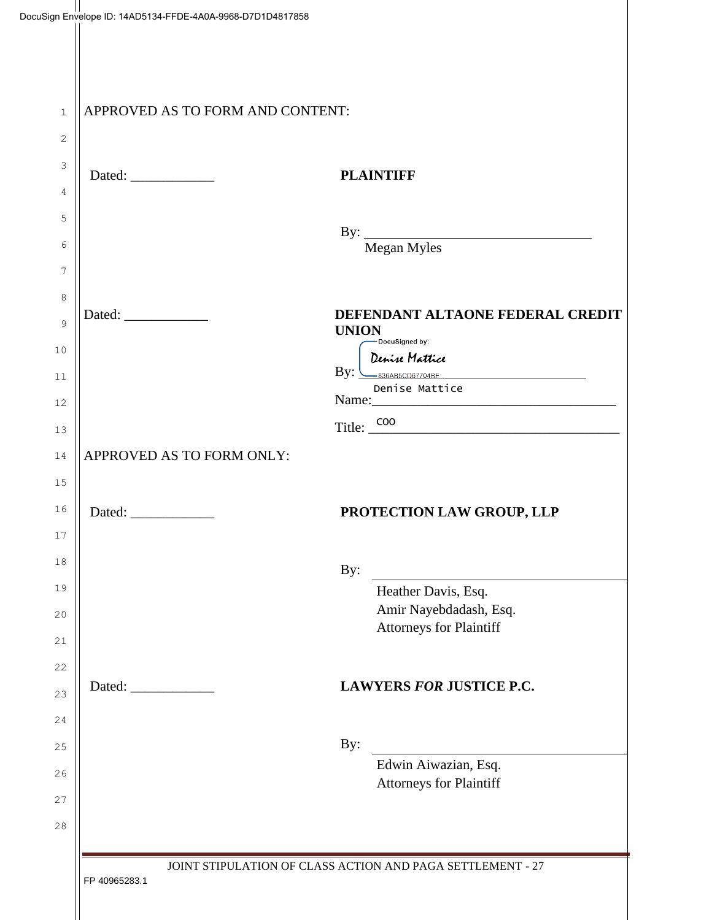|                           | APPROVED AS TO FORM AND CONTENT:                                                                                                                                  |
|---------------------------|-------------------------------------------------------------------------------------------------------------------------------------------------------------------|
|                           | <b>PLAINTIFF</b>                                                                                                                                                  |
|                           | By: Megan Myles                                                                                                                                                   |
|                           | DEFENDANT ALTAONE FEDERAL CREDIT<br><b>UNION</b><br>-DocuSigned by:<br>Denise Mattice<br>$\mathbf{By:}\xrightarrow{\mathbf{0.836AB5CDB7704BE}}$<br>Denise Mattice |
| APPROVED AS TO FORM ONLY: | Title: <u>COO</u>                                                                                                                                                 |
|                           | PROTECTION LAW GROUP, LLP                                                                                                                                         |
|                           | By:                                                                                                                                                               |
|                           | Heather Davis, Esq.<br>Amir Nayebdadash, Esq.<br><b>Attorneys for Plaintiff</b>                                                                                   |
|                           | <b>LAWYERS FOR JUSTICE P.C.</b>                                                                                                                                   |